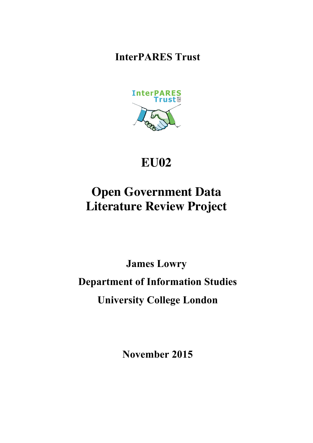**InterPARES Trust**



## **EU02**

# **Open Government Data Literature Review Project**

**James Lowry Department of Information Studies University College London**

**November 2015**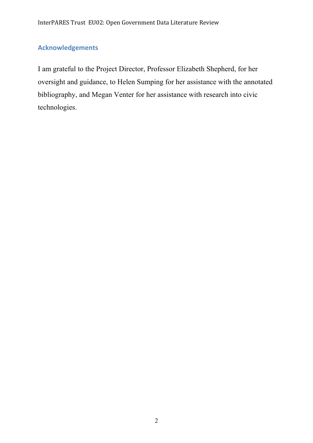### **Acknowledgements**

I am grateful to the Project Director, Professor Elizabeth Shepherd, for her oversight and guidance, to Helen Sumping for her assistance with the annotated bibliography, and Megan Venter for her assistance with research into civic technologies.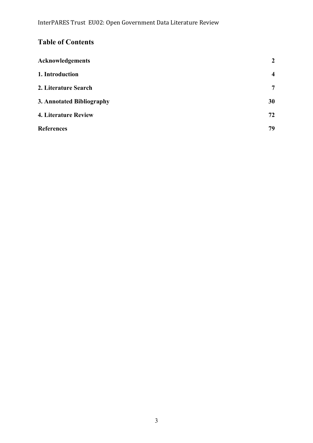### **Table of Contents**

| <b>Acknowledgements</b>     | $\overline{2}$          |
|-----------------------------|-------------------------|
| 1. Introduction             | $\overline{\mathbf{4}}$ |
| 2. Literature Search        | $\overline{7}$          |
| 3. Annotated Bibliography   | 30                      |
| <b>4. Literature Review</b> | 72                      |
| <b>References</b>           | 79                      |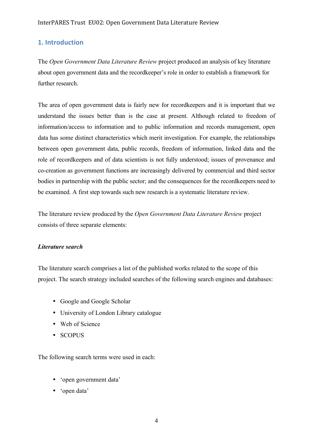#### **1. Introduction**

The *Open Government Data Literature Review* project produced an analysis of key literature about open government data and the recordkeeper's role in order to establish a framework for further research.

The area of open government data is fairly new for recordkeepers and it is important that we understand the issues better than is the case at present. Although related to freedom of information/access to information and to public information and records management, open data has some distinct characteristics which merit investigation. For example, the relationships between open government data, public records, freedom of information, linked data and the role of recordkeepers and of data scientists is not fully understood; issues of provenance and co-creation as government functions are increasingly delivered by commercial and third sector bodies in partnership with the public sector; and the consequences for the recordkeepers need to be examined. A first step towards such new research is a systematic literature review.

The literature review produced by the *Open Government Data Literature Review* project consists of three separate elements:

#### *Literature search*

The literature search comprises a list of the published works related to the scope of this project. The search strategy included searches of the following search engines and databases:

- Google and Google Scholar
- University of London Library catalogue
- Web of Science
- SCOPUS

The following search terms were used in each:

- 'open government data'
- 'open data'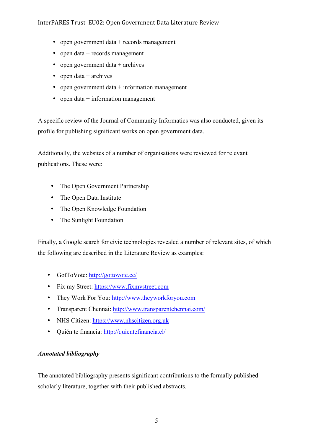#### InterPARES Trust EU02: Open Government Data Literature Review

- open government data + records management
- open data + records management
- open government data  $+$  archives
- open data  $+$  archives
- open government data  $+$  information management
- open data  $+$  information management

A specific review of the Journal of Community Informatics was also conducted, given its profile for publishing significant works on open government data.

Additionally, the websites of a number of organisations were reviewed for relevant publications. These were:

- The Open Government Partnership
- The Open Data Institute
- The Open Knowledge Foundation
- The Sunlight Foundation

Finally, a Google search for civic technologies revealed a number of relevant sites, of which the following are described in the Literature Review as examples:

- GotToVote: http://gottovote.cc/
- Fix my Street: https://www.fixmystreet.com
- They Work For You: http://www.theyworkforyou.com
- Transparent Chennai: http://www.transparentchennai.com/
- NHS Citizen: https://www.nhscitizen.org.uk
- Quién te financia: http://quientefinancia.cl/

#### *Annotated bibliography*

The annotated bibliography presents significant contributions to the formally published scholarly literature, together with their published abstracts.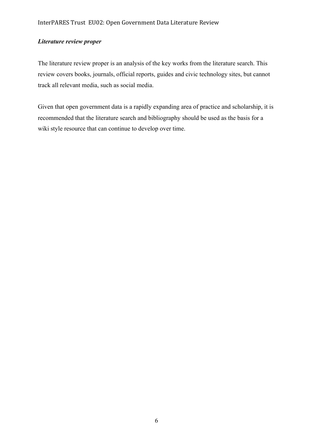#### *Literature review proper*

The literature review proper is an analysis of the key works from the literature search. This review covers books, journals, official reports, guides and civic technology sites, but cannot track all relevant media, such as social media.

Given that open government data is a rapidly expanding area of practice and scholarship, it is recommended that the literature search and bibliography should be used as the basis for a wiki style resource that can continue to develop over time.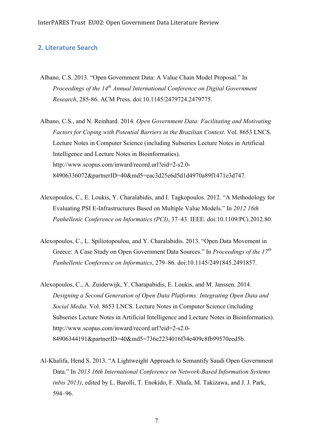#### **2. Literature Search**

- Albano, C.S. 2013. "Open Government Data: A Value Chain Model Proposal." In *Proceedings of the 14th Annual International Conference on Digital Government Research*, 285-86. ACM Press. doi:10.1145/2479724.2479775.
- Albano, C.S., and N. Reinhard. 2014. *Open Government Data: Facilitating and Motivating Factors for Coping with Potential Barriers in the Brazilian Context*. Vol. 8653 LNCS. Lecture Notes in Computer Science (including Subseries Lecture Notes in Artificial Intelligence and Lecture Notes in Bioinformatics). http://www.scopus.com/inward/record.url?eid=2-s2.0- 84906336072&partnerID=40&md5=eac3d25e6d5d1d4970a89f1471e3d747.
- Alexopoulos, C., E. Loukis, Y. Charalabidis, and I. Tagkopoulos. 2012. "A Methodology for Evaluating PSI E-Infrastructures Based on Multiple Value Models." In *2012 16th Panhellenic Conference on Informatics (PCI)*, 37–43. IEEE. doi:10.1109/PCi.2012.80.
- Alexopoulos, C., L. Spiliotopoulou, and Y. Charalabidis. 2013. "Open Data Movement in Greece: A Case Study on Open Government Data Sources." In *Proceedings of the 17th Panhellenic Conference on Informatics*, 279–86. doi:10.1145/2491845.2491857.
- Alexopoulos, C., A. Zuiderwijk, Y. Charapabidis, E. Loukis, and M. Janssen. 2014. *Designing a Second Generation of Open Data Platforms: Integrating Open Data and Social Media*. Vol. 8653 LNCS. Lecture Notes in Computer Science (including Subseries Lecture Notes in Artificial Intelligence and Lecture Notes in Bioinformatics). http://www.scopus.com/inward/record.url?eid=2-s2.0- 84906344191&partnerID=40&md5=736e2234016f34e409c8fb99570eed5b.
- Al-Khalifa, Hend S. 2013. "A Lightweight Approach to Semantify Saudi Open Government Data." In *2013 16th International Conference on Network-Based Information Systems (nbis 2013)*, edited by L. Barolli, T. Enokido, F. Xhafa, M. Takizawa, and J. J. Park, 594–96.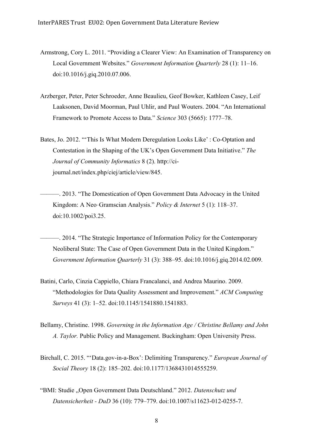- Armstrong, Cory L. 2011. "Providing a Clearer View: An Examination of Transparency on Local Government Websites." *Government Information Quarterly* 28 (1): 11–16. doi:10.1016/j.giq.2010.07.006.
- Arzberger, Peter, Peter Schroeder, Anne Beaulieu, Geof Bowker, Kathleen Casey, Leif Laaksonen, David Moorman, Paul Uhlir, and Paul Wouters. 2004. "An International Framework to Promote Access to Data." *Science* 303 (5665): 1777–78.
- Bates, Jo. 2012. "'This Is What Modern Deregulation Looks Like' : Co-Optation and Contestation in the Shaping of the UK's Open Government Data Initiative." *The Journal of Community Informatics* 8 (2). http://cijournal.net/index.php/ciej/article/view/845.
- ———. 2013. "The Domestication of Open Government Data Advocacy in the United Kingdom: A Neo‐Gramscian Analysis." *Policy & Internet* 5 (1): 118–37. doi:10.1002/poi3.25.
	- ———. 2014. "The Strategic Importance of Information Policy for the Contemporary Neoliberal State: The Case of Open Government Data in the United Kingdom." *Government Information Quarterly* 31 (3): 388–95. doi:10.1016/j.giq.2014.02.009.
- Batini, Carlo, Cinzia Cappiello, Chiara Francalanci, and Andrea Maurino. 2009. "Methodologies for Data Quality Assessment and Improvement." *ACM Computing Surveys* 41 (3): 1–52. doi:10.1145/1541880.1541883.
- Bellamy, Christine. 1998. *Governing in the Information Age / Christine Bellamy and John A. Taylor.* Public Policy and Management. Buckingham: Open University Press.
- Birchall, C. 2015. "'Data.gov-in-a-Box': Delimiting Transparency." *European Journal of Social Theory* 18 (2): 185–202. doi:10.1177/1368431014555259.
- "BMI: Studie "Open Government Data Deutschland." 2012. *Datenschutz und Datensicherheit - DuD* 36 (10): 779–779. doi:10.1007/s11623-012-0255-7.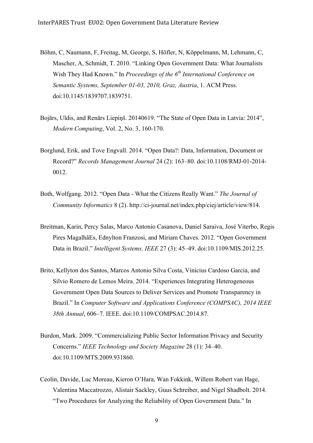- Böhm, C, Naumann, F, Freitag, M, George, S, Höfler, N, Köppelmann, M, Lehmann, C, Mascher, A, Schmidt, T. 2010. "Linking Open Government Data: What Journalists Wish They Had Known." In *Proceedings of the 6th International Conference on Semantic Systems, September 01-03, 2010, Graz, Austria*, 1. ACM Press. doi:10.1145/1839707.1839751.
- Bojārs, Uldis, and Renārs Liepiņš. 20140619. "The State of Open Data in Latvia: 2014", *Modern Computing*, Vol. 2, No. 3, 160-170.
- Borglund, Erik, and Tove Engvall. 2014. "Open Data?: Data, Information, Document or Record?" *Records Management Journal* 24 (2): 163–80. doi:10.1108/RMJ-01-2014- 0012.
- Both, Wolfgang. 2012. "Open Data What the Citizens Really Want." *The Journal of Community Informatics* 8 (2). http://ci-journal.net/index.php/ciej/article/view/814.
- Breitman, Karin, Percy Salas, Marco Antonio Casanova, Daniel Saraiva, José Viterbo, Regis Pires MagalhãEs, Ednylton Franzosi, and Miriam Chaves. 2012. "Open Government Data in Brazil." *Intelligent Systems, IEEE* 27 (3): 45–49. doi:10.1109/MIS.2012.25.
- Brito, Kellyton dos Santos, Marcos Antonio Silva Costa, Vinicius Cardoso Garcia, and Silvio Romero de Lemos Meira. 2014. "Experiences Integrating Heterogeneous Government Open Data Sources to Deliver Services and Promote Transparency in Brazil." In *Computer Software and Applications Conference (COMPSAC), 2014 IEEE 38th Annual*, 606–7. IEEE. doi:10.1109/COMPSAC.2014.87.
- Burdon, Mark. 2009. "Commercializing Public Sector Information Privacy and Security Concerns." *IEEE Technology and Society Magazine* 28 (1): 34–40. doi:10.1109/MTS.2009.931860.
- Ceolin, Davide, Luc Moreau, Kieron O'Hara, Wan Fokkink, Willem Robert van Hage, Valentina Maccatrozzo, Alistair Sackley, Guus Schreiber, and Nigel Shadbolt. 2014. "Two Procedures for Analyzing the Reliability of Open Government Data." In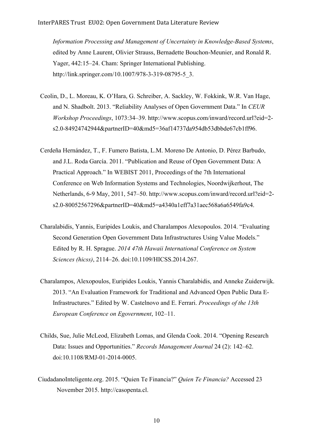*Information Processing and Management of Uncertainty in Knowledge-Based Systems*, edited by Anne Laurent, Olivier Strauss, Bernadette Bouchon-Meunier, and Ronald R. Yager, 442:15–24. Cham: Springer International Publishing. http://link.springer.com/10.1007/978-3-319-08795-5\_3.

- Ceolin, D., L. Moreau, K. O'Hara, G. Schreiber, A. Sackley, W. Fokkink, W.R. Van Hage, and N. Shadbolt. 2013. "Reliability Analyses of Open Government Data." In *CEUR Workshop Proceedings*, 1073:34–39. http://www.scopus.com/inward/record.url?eid=2 s2.0-84924742944&partnerID=40&md5=36af14737da954db53dbbde67cb1ff96.
- Cerdeña Hernández, T., F. Fumero Batista, L.M. Moreno De Antonio, D. Pérez Barbudo, and J.L. Roda García. 2011. "Publication and Reuse of Open Government Data: A Practical Approach." In WEBIST 2011, Proceedings of the 7th International Conference on Web Information Systems and Technologies, Noordwijkerhout, The Netherlands, 6-9 May, 2011, 547–50. http://www.scopus.com/inward/record.url?eid=2 s2.0-80052567296&partnerID=40&md5=a4340a1eff7a31aec568a6a6549fa9c4.
- Charalabidis, Yannis, Euripides Loukis, and Charalampos Alexopoulos. 2014. "Evaluating Second Generation Open Government Data Infrastructures Using Value Models." Edited by R. H. Sprague. *2014 47th Hawaii International Conference on System Sciences (hicss)*, 2114–26. doi:10.1109/HICSS.2014.267.
- Charalampos, Alexopoulos, Euripides Loukis, Yannis Charalabidis, and Anneke Zuiderwijk. 2013. "An Evaluation Framework for Traditional and Advanced Open Public Data E-Infrastructures." Edited by W. Castelnovo and E. Ferrari. *Proceedings of the 13th European Conference on Egovernment*, 102–11.
- Childs, Sue, Julie McLeod, Elizabeth Lomas, and Glenda Cook. 2014. "Opening Research Data: Issues and Opportunities." *Records Management Journal* 24 (2): 142–62. doi:10.1108/RMJ-01-2014-0005.
- CiudadanoInteligente.org. 2015. "Quien Te Financia?" *Quien Te Financia?* Accessed 23 November 2015. http://casopenta.cl.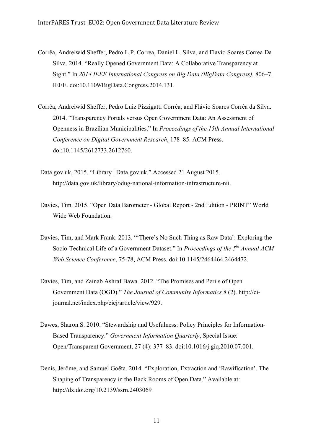- Corrêa, Andreiwid Sheffer, Pedro L.P. Correa, Daniel L. Silva, and Flavio Soares Correa Da Silva. 2014. "Really Opened Government Data: A Collaborative Transparency at Sight." In *2014 IEEE International Congress on Big Data (BigData Congress)*, 806–7. IEEE. doi:10.1109/BigData.Congress.2014.131.
- Corrêa, Andreiwid Sheffer, Pedro Luiz Pizzigatti Corrêa, and Flávio Soares Corrêa da Silva. 2014. "Transparency Portals versus Open Government Data: An Assessment of Openness in Brazilian Municipalities." In *Proceedings of the 15th Annual International Conference on Digital Government Research*, 178–85. ACM Press. doi:10.1145/2612733.2612760.
- Data.gov.uk, 2015. "Library | Data.gov.uk." Accessed 21 August 2015. http://data.gov.uk/library/odug-national-information-infrastructure-nii.
- Davies, Tim. 2015. "Open Data Barometer Global Report 2nd Edition PRINT" World Wide Web Foundation.
- Davies, Tim, and Mark Frank. 2013. "'There's No Such Thing as Raw Data': Exploring the Socio-Technical Life of a Government Dataset." In *Proceedings of the 5th Annual ACM Web Science Conference*, 75-78, ACM Press. doi:10.1145/2464464.2464472.
- Davies, Tim, and Zainab Ashraf Bawa. 2012. "The Promises and Perils of Open Government Data (OGD)." *The Journal of Community Informatics* 8 (2). http://cijournal.net/index.php/ciej/article/view/929.
- Dawes, Sharon S. 2010. "Stewardship and Usefulness: Policy Principles for Information-Based Transparency." *Government Information Quarterly*, Special Issue: Open/Transparent Government, 27 (4): 377–83. doi:10.1016/j.giq.2010.07.001.
- Denis, Jérôme, and Samuel Goëta. 2014. "Exploration, Extraction and 'Rawification'. The Shaping of Transparency in the Back Rooms of Open Data." Available at: http://dx.doi.org/10.2139/ssrn.2403069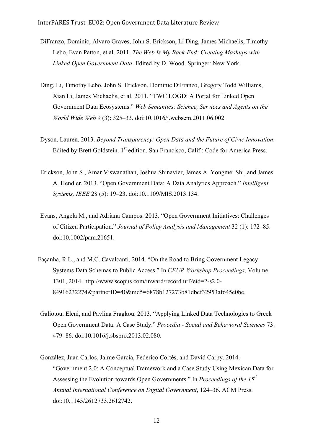- DiFranzo, Dominic, Alvaro Graves, John S. Erickson, Li Ding, James Michaelis, Timothy Lebo, Evan Patton, et al. 2011. *The Web Is My Back-End: Creating Mashups with Linked Open Government Data*. Edited by D. Wood. Springer: New York.
- Ding, Li, Timothy Lebo, John S. Erickson, Dominic DiFranzo, Gregory Todd Williams, Xian Li, James Michaelis, et al. 2011. "TWC LOGD: A Portal for Linked Open Government Data Ecosystems." *Web Semantics: Science, Services and Agents on the World Wide Web* 9 (3): 325–33. doi:10.1016/j.websem.2011.06.002.
- Dyson, Lauren. 2013. *Beyond Transparency: Open Data and the Future of Civic Innovation*. Edited by Brett Goldstein. 1<sup>st</sup> edition. San Francisco, Calif.: Code for America Press.
- Erickson, John S., Amar Viswanathan, Joshua Shinavier, James A. Yongmei Shi, and James A. Hendler. 2013. "Open Government Data: A Data Analytics Approach." *Intelligent Systems, IEEE* 28 (5): 19–23. doi:10.1109/MIS.2013.134.
- Evans, Angela M., and Adriana Campos. 2013. "Open Government Initiatives: Challenges of Citizen Participation." *Journal of Policy Analysis and Management* 32 (1): 172–85. doi:10.1002/pam.21651.
- Façanha, R.L., and M.C. Cavalcanti. 2014. "On the Road to Bring Government Legacy Systems Data Schemas to Public Access." In *CEUR Workshop Proceedings*, Volume 1301, 2014. http://www.scopus.com/inward/record.url?eid=2-s2.0- 84916232274&partnerID=40&md5=6878b127273b81dbcf32953af645e0be.
- Galiotou, Eleni, and Pavlina Fragkou. 2013. "Applying Linked Data Technologies to Greek Open Government Data: A Case Study." *Procedia - Social and Behavioral Sciences* 73: 479–86. doi:10.1016/j.sbspro.2013.02.080.
- González, Juan Carlos, Jaime Garcia, Federico Cortés, and David Carpy. 2014. "Government 2.0: A Conceptual Framework and a Case Study Using Mexican Data for Assessing the Evolution towards Open Governments." In *Proceedings of the 15th Annual International Conference on Digital Government*, 124–36. ACM Press. doi:10.1145/2612733.2612742.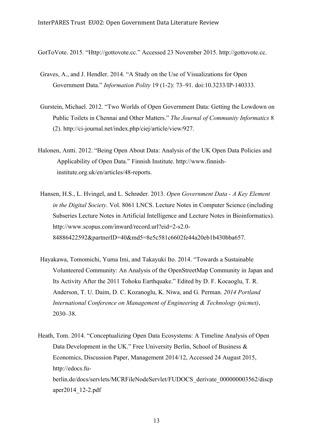GotToVote. 2015. "Http://gottovote.cc." Accessed 23 November 2015. http://gottovote.cc.

- Graves, A., and J. Hendler. 2014. "A Study on the Use of Visualizations for Open Government Data." *Information Polity* 19 (1-2): 73–91. doi:10.3233/IP-140333.
- Gurstein, Michael. 2012. "Two Worlds of Open Government Data: Getting the Lowdown on Public Toilets in Chennai and Other Matters." *The Journal of Community Informatics* 8 (2). http://ci-journal.net/index.php/ciej/article/view/927.
- Halonen, Antti. 2012. "Being Open About Data: Analysis of the UK Open Data Policies and Applicability of Open Data." Finnish Institute. http://www.finnishinstitute.org.uk/en/articles/48-reports.
- Hansen, H.S., L. Hvingel, and L. Schrøder. 2013. *Open Government Data - A Key Element in the Digital Society*. Vol. 8061 LNCS. Lecture Notes in Computer Science (including Subseries Lecture Notes in Artificial Intelligence and Lecture Notes in Bioinformatics). http://www.scopus.com/inward/record.url?eid=2-s2.0- 84886422592&partnerID=40&md5=8e5c581c6602fe44a20eb1b430bba657.
- Hayakawa, Tomomichi, Yuma Imi, and Takayuki Ito. 2014. "Towards a Sustainable Volunteered Community: An Analysis of the OpenStreetMap Community in Japan and Its Activity After the 2011 Tohoku Earthquake." Edited by D. F. Kocaoglu, T. R. Anderson, T. U. Daim, D. C. Kozanoglu, K. Niwa, and G. Perman. *2014 Portland International Conference on Management of Engineering & Technology (picmet)*, 2030–38.
- Heath, Tom. 2014. "Conceptualizing Open Data Ecosystems: A Timeline Analysis of Open Data Development in the UK." Free University Berlin, School of Business & Economics, Discussion Paper, Management 2014/12, Accessed 24 August 2015, http://edocs.fuberlin.de/docs/servlets/MCRFileNodeServlet/FUDOCS\_derivate\_000000003562/discp aper2014\_12-2.pdf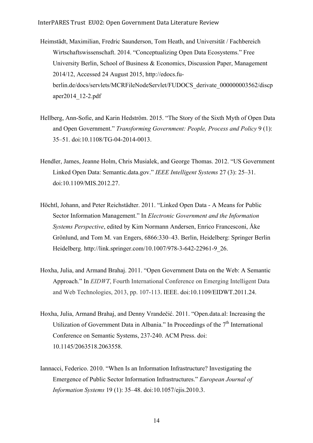- Heimstädt, Maximilian, Fredric Saunderson, Tom Heath, and Universität / Fachbereich Wirtschaftswissenschaft. 2014. "Conceptualizing Open Data Ecosystems." Free University Berlin, School of Business & Economics, Discussion Paper, Management 2014/12, Accessed 24 August 2015, http://edocs.fuberlin.de/docs/servlets/MCRFileNodeServlet/FUDOCS\_derivate\_000000003562/discp aper2014\_12-2.pdf
- Hellberg, Ann-Sofie, and Karin Hedström. 2015. "The Story of the Sixth Myth of Open Data and Open Government." *Transforming Government: People, Process and Policy* 9 (1): 35–51. doi:10.1108/TG-04-2014-0013.
- Hendler, James, Jeanne Holm, Chris Musialek, and George Thomas. 2012. "US Government Linked Open Data: Semantic.data.gov." *IEEE Intelligent Systems* 27 (3): 25–31. doi:10.1109/MIS.2012.27.
- Höchtl, Johann, and Peter Reichstädter. 2011. "Linked Open Data A Means for Public Sector Information Management." In *Electronic Government and the Information Systems Perspective*, edited by Kim Normann Andersen, Enrico Francesconi, Åke Grönlund, and Tom M. van Engers, 6866:330–43. Berlin, Heidelberg: Springer Berlin Heidelberg. http://link.springer.com/10.1007/978-3-642-22961-9\_26.
- Hoxha, Julia, and Armand Brahaj. 2011. "Open Government Data on the Web: A Semantic Approach." In *EIDWT*, Fourth International Conference on Emerging Intelligent Data and Web Technologies, 2013, pp. 107-113. IEEE. doi:10.1109/EIDWT.2011.24.
- Hoxha, Julia, Armand Brahaj, and Denny Vrandečić. 2011. "Open.data.al: Increasing the Utilization of Government Data in Albania." In Proceedings of the  $7<sup>th</sup>$  International Conference on Semantic Systems, 237-240. ACM Press. doi: 10.1145/2063518.2063558.
- Iannacci, Federico. 2010. "When Is an Information Infrastructure? Investigating the Emergence of Public Sector Information Infrastructures." *European Journal of Information Systems* 19 (1): 35–48. doi:10.1057/ejis.2010.3.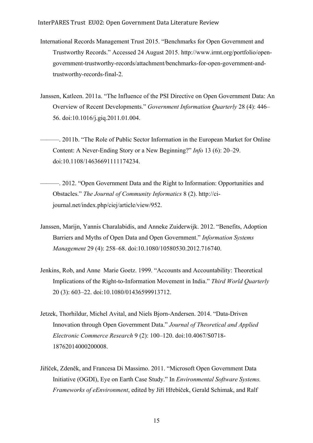- International Records Management Trust 2015. "Benchmarks for Open Government and Trustworthy Records." Accessed 24 August 2015. http://www.irmt.org/portfolio/opengovernment-trustworthy-records/attachment/benchmarks-for-open-government-andtrustworthy-records-final-2.
- Janssen, Katleen. 2011a. "The Influence of the PSI Directive on Open Government Data: An Overview of Recent Developments." *Government Information Quarterly* 28 (4): 446– 56. doi:10.1016/j.giq.2011.01.004.
- ———. 2011b. "The Role of Public Sector Information in the European Market for Online Content: A Never-Ending Story or a New Beginning?" *Info* 13 (6): 20–29. doi:10.1108/14636691111174234.
- ———. 2012. "Open Government Data and the Right to Information: Opportunities and Obstacles." *The Journal of Community Informatics* 8 (2). http://cijournal.net/index.php/ciej/article/view/952.
- Janssen, Marijn, Yannis Charalabidis, and Anneke Zuiderwijk. 2012. "Benefits, Adoption Barriers and Myths of Open Data and Open Government." *Information Systems Management* 29 (4): 258–68. doi:10.1080/10580530.2012.716740.
- Jenkins, Rob, and Anne Marie Goetz. 1999. "Accounts and Accountability: Theoretical Implications of the Right-to-Information Movement in India." *Third World Quarterly* 20 (3): 603–22. doi:10.1080/01436599913712.
- Jetzek, Thorhildur, Michel Avital, and Niels Bjorn-Andersen. 2014. "Data-Driven Innovation through Open Government Data." *Journal of Theoretical and Applied Electronic Commerce Research* 9 (2): 100–120. doi:10.4067/S0718- 18762014000200008.
- Jiříček, Zdeněk, and Francesa Di Massimo. 2011. "Microsoft Open Government Data Initiative (OGDI), Eye on Earth Case Study." In *Environmental Software Systems. Frameworks of eEnvironment*, edited by Jiří Hřebíček, Gerald Schimak, and Ralf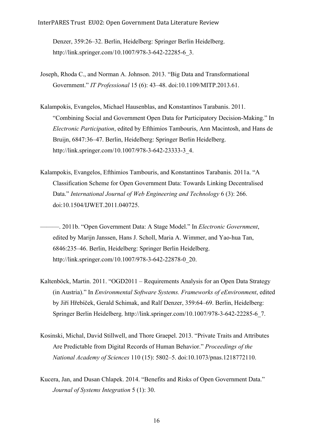InterPARES Trust EU02: Open Government Data Literature Review

Denzer, 359:26–32. Berlin, Heidelberg: Springer Berlin Heidelberg. http://link.springer.com/10.1007/978-3-642-22285-6\_3.

- Joseph, Rhoda C., and Norman A. Johnson. 2013. "Big Data and Transformational Government." *IT Professional* 15 (6): 43–48. doi:10.1109/MITP.2013.61.
- Kalampokis, Evangelos, Michael Hausenblas, and Konstantinos Tarabanis. 2011. "Combining Social and Government Open Data for Participatory Decision-Making." In *Electronic Participation*, edited by Efthimios Tambouris, Ann Macintosh, and Hans de Bruijn, 6847:36–47. Berlin, Heidelberg: Springer Berlin Heidelberg. http://link.springer.com/10.1007/978-3-642-23333-3\_4.
- Kalampokis, Evangelos, Efthimios Tambouris, and Konstantinos Tarabanis. 2011a. "A Classification Scheme for Open Government Data: Towards Linking Decentralised Data." *International Journal of Web Engineering and Technology* 6 (3): 266. doi:10.1504/IJWET.2011.040725.
	- ———. 2011b. "Open Government Data: A Stage Model." In *Electronic Government*, edited by Marijn Janssen, Hans J. Scholl, Maria A. Wimmer, and Yao-hua Tan, 6846:235–46. Berlin, Heidelberg: Springer Berlin Heidelberg. http://link.springer.com/10.1007/978-3-642-22878-0\_20.
- Kaltenböck, Martin. 2011. "OGD2011 Requirements Analysis for an Open Data Strategy (in Austria)." In *Environmental Software Systems. Frameworks of eEnvironment*, edited by Jiří Hřebíček, Gerald Schimak, and Ralf Denzer, 359:64–69. Berlin, Heidelberg: Springer Berlin Heidelberg. http://link.springer.com/10.1007/978-3-642-22285-6\_7.
- Kosinski, Michal, David Stillwell, and Thore Graepel. 2013. "Private Traits and Attributes Are Predictable from Digital Records of Human Behavior." *Proceedings of the National Academy of Sciences* 110 (15): 5802–5. doi:10.1073/pnas.1218772110.
- Kucera, Jan, and Dusan Chlapek. 2014. "Benefits and Risks of Open Government Data." *Journal of Systems Integration* 5 (1): 30.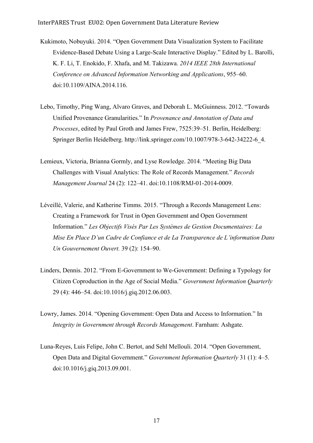- Kukimoto, Nobuyuki. 2014. "Open Government Data Visualization System to Facilitate Evidence-Based Debate Using a Large-Scale Interactive Display." Edited by L. Barolli, K. F. Li, T. Enokido, F. Xhafa, and M. Takizawa. *2014 IEEE 28th International Conference on Advanced Information Networking and Applications*, 955–60. doi:10.1109/AINA.2014.116.
- Lebo, Timothy, Ping Wang, Alvaro Graves, and Deborah L. McGuinness. 2012. "Towards Unified Provenance Granularities." In *Provenance and Annotation of Data and Processes*, edited by Paul Groth and James Frew, 7525:39–51. Berlin, Heidelberg: Springer Berlin Heidelberg. http://link.springer.com/10.1007/978-3-642-34222-6\_4.
- Lemieux, Victoria, Brianna Gormly, and Lyse Rowledge. 2014. "Meeting Big Data Challenges with Visual Analytics: The Role of Records Management." *Records Management Journal* 24 (2): 122–41. doi:10.1108/RMJ-01-2014-0009.
- Léveillé, Valerie, and Katherine Timms. 2015. "Through a Records Management Lens: Creating a Framework for Trust in Open Government and Open Government Information." *Les Objectifs Visés Par Les Systèmes de Gestion Documentaires: La Mise En Place D'un Cadre de Confiance et de La Transparence de L'information Dans Un Gouvernement Ouvert.* 39 (2): 154–90.
- Linders, Dennis. 2012. "From E-Government to We-Government: Defining a Typology for Citizen Coproduction in the Age of Social Media." *Government Information Quarterly* 29 (4): 446–54. doi:10.1016/j.giq.2012.06.003.
- Lowry, James. 2014. "Opening Government: Open Data and Access to Information." In *Integrity in Government through Records Management*. Farnham: Ashgate.
- Luna-Reyes, Luis Felipe, John C. Bertot, and Sehl Mellouli. 2014. "Open Government, Open Data and Digital Government." *Government Information Quarterly* 31 (1): 4–5. doi:10.1016/j.giq.2013.09.001.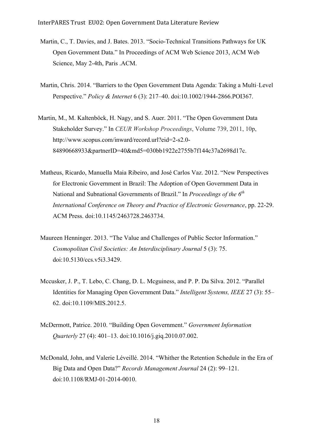- Martin, C., T. Davies, and J. Bates. 2013. "Socio-Technical Transitions Pathways for UK Open Government Data." In Proceedings of ACM Web Science 2013, ACM Web Science, May 2-4th, Paris .ACM.
- Martin, Chris. 2014. "Barriers to the Open Government Data Agenda: Taking a Multi‐Level Perspective." *Policy & Internet* 6 (3): 217–40. doi:10.1002/1944-2866.POI367.
- Martin, M., M. Kaltenböck, H. Nagy, and S. Auer. 2011. "The Open Government Data Stakeholder Survey." In *CEUR Workshop Proceedings*, Volume 739, 2011, 10p, http://www.scopus.com/inward/record.url?eid=2-s2.0- 84890668933&partnerID=40&md5=030bb1922e2755b7f144c37a2698d17c.
- Matheus, Ricardo, Manuella Maia Ribeiro, and José Carlos Vaz. 2012. "New Perspectives for Electronic Government in Brazil: The Adoption of Open Government Data in National and Subnational Governments of Brazil." In *Proceedings of the 6th International Conference on Theory and Practice of Electronic Governance*, pp. 22-29. ACM Press. doi:10.1145/2463728.2463734.
- Maureen Henninger. 2013. "The Value and Challenges of Public Sector Information." *Cosmopolitan Civil Societies: An Interdisciplinary Journal* 5 (3): 75. doi:10.5130/ccs.v5i3.3429.
- Mccusker, J. P., T. Lebo, C. Chang, D. L. Mcguiness, and P. P. Da Silva. 2012. "Parallel Identities for Managing Open Government Data." *Intelligent Systems, IEEE* 27 (3): 55– 62. doi:10.1109/MIS.2012.5.
- McDermott, Patrice. 2010. "Building Open Government." *Government Information Quarterly* 27 (4): 401–13. doi:10.1016/j.giq.2010.07.002.
- McDonald, John, and Valerie Léveillé. 2014. "Whither the Retention Schedule in the Era of Big Data and Open Data?" *Records Management Journal* 24 (2): 99–121. doi:10.1108/RMJ-01-2014-0010.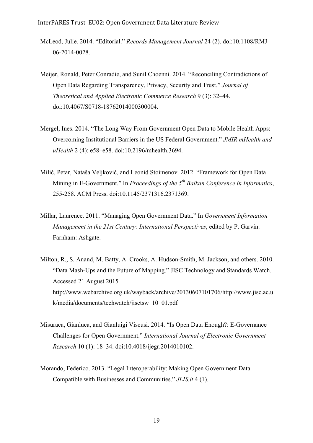- McLeod, Julie. 2014. "Editorial." *Records Management Journal* 24 (2). doi:10.1108/RMJ-06-2014-0028.
- Meijer, Ronald, Peter Conradie, and Sunil Choenni. 2014. "Reconciling Contradictions of Open Data Regarding Transparency, Privacy, Security and Trust." *Journal of Theoretical and Applied Electronic Commerce Research* 9 (3): 32–44. doi:10.4067/S0718-18762014000300004.
- Mergel, Ines. 2014. "The Long Way From Government Open Data to Mobile Health Apps: Overcoming Institutional Barriers in the US Federal Government." *JMIR mHealth and uHealth* 2 (4): e58–e58. doi:10.2196/mhealth.3694.
- Milić, Petar, Nataša Veljković, and Leonid Stoimenov. 2012. "Framework for Open Data Mining in E-Government." In *Proceedings of the 5th Balkan Conference in Informatics*, 255-258. ACM Press. doi:10.1145/2371316.2371369.
- Millar, Laurence. 2011. "Managing Open Government Data." In *Government Information Management in the 21st Century: International Perspectives*, edited by P. Garvin. Farnham: Ashgate.
- Milton, R., S. Anand, M. Batty, A. Crooks, A. Hudson-Smith, M. Jackson, and others. 2010. "Data Mash-Ups and the Future of Mapping." JISC Technology and Standards Watch. Accessed 21 August 2015 http://www.webarchive.org.uk/wayback/archive/20130607101706/http://www.jisc.ac.u k/media/documents/techwatch/jisctsw\_10\_01.pdf
- Misuraca, Gianluca, and Gianluigi Viscusi. 2014. "Is Open Data Enough?: E-Governance Challenges for Open Government." *International Journal of Electronic Government Research* 10 (1): 18–34. doi:10.4018/ijegr.2014010102.
- Morando, Federico. 2013. "Legal Interoperability: Making Open Government Data Compatible with Businesses and Communities." *JLIS.it* 4 (1).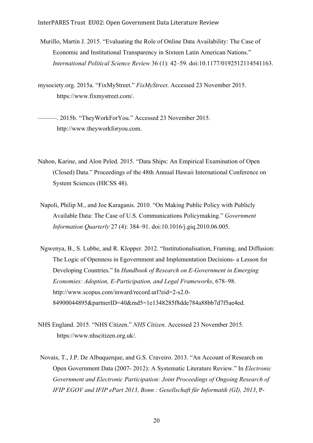Murillo, Martin J. 2015. "Evaluating the Role of Online Data Availability: The Case of Economic and Institutional Transparency in Sixteen Latin American Nations." *International Political Science Review* 36 (1): 42–59. doi:10.1177/0192512114541163.

mysociety.org. 2015a. "FixMyStreet." *FixMyStreet*. Accessed 23 November 2015. https://www.fixmystreet.com/.

———. 2015b. "TheyWorkForYou." Accessed 23 November 2015. http://www.theyworkforyou.com.

- Nahon, Karine, and Alon Peled. 2015. "Data Ships: An Empirical Examination of Open (Closed) Data." Proceedings of the 48th Annual Hawaii International Conference on System Sciences (HICSS 48).
- Napoli, Philip M., and Joe Karaganis. 2010. "On Making Public Policy with Publicly Available Data: The Case of U.S. Communications Policymaking." *Government Information Quarterly* 27 (4): 384–91. doi:10.1016/j.giq.2010.06.005.
- Ngwenya, B., S. Lubbe, and R. Klopper. 2012. "Institutionalisation, Framing, and Diffusion: The Logic of Openness in Egovernment and Implementation Decisions- a Lesson for Developing Countries." In *Handbook of Research on E-Government in Emerging Economies: Adoption, E-Participation, and Legal Frameworks*, 678–98. http://www.scopus.com/inward/record.url?eid=2-s2.0- 84900044895&partnerID=40&md5=1e1348285f8dde784a88bb7d7f5ae4ed.
- NHS England. 2015. "NHS Citizen." *NHS Citizen*. Accessed 23 November 2015. https://www.nhscitizen.org.uk/.
- Novais, T., J.P. De Albuquerque, and G.S. Craveiro. 2013. "An Account of Research on Open Government Data (2007- 2012): A Systematic Literature Review." In *Electronic Government and Electronic Participation: Joint Proceedings of Ongoing Research of IFIP EGOV and IFIP ePart 2013, Bonn : Gesellschaft für Informatik (GI), 2013*, P-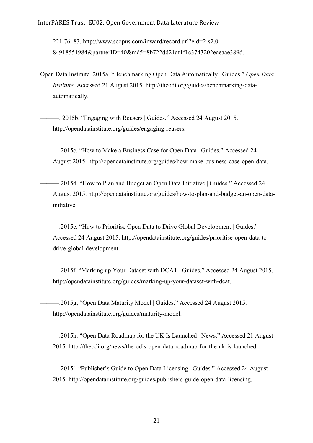221:76–83. http://www.scopus.com/inward/record.url?eid=2-s2.0- 84918551984&partnerID=40&md5=8b722dd21af1f1c3743202eaeaae389d.

- Open Data Institute. 2015a. "Benchmarking Open Data Automatically | Guides." *Open Data Institute*. Accessed 21 August 2015. http://theodi.org/guides/benchmarking-dataautomatically.
	- ———. 2015b. "Engaging with Reusers | Guides." Accessed 24 August 2015. http://opendatainstitute.org/guides/engaging-reusers.
- ———.2015c. "How to Make a Business Case for Open Data | Guides." Accessed 24 August 2015. http://opendatainstitute.org/guides/how-make-business-case-open-data.
- ———.2015d. "How to Plan and Budget an Open Data Initiative | Guides." Accessed 24 August 2015. http://opendatainstitute.org/guides/how-to-plan-and-budget-an-open-datainitiative.
	- ———.2015e. "How to Prioritise Open Data to Drive Global Development | Guides." Accessed 24 August 2015. http://opendatainstitute.org/guides/prioritise-open-data-todrive-global-development.
	- –2015f. "Marking up Your Dataset with DCAT | Guides." Accessed 24 August 2015. http://opendatainstitute.org/guides/marking-up-your-dataset-with-dcat.
- ———.2015g, "Open Data Maturity Model | Guides." Accessed 24 August 2015. http://opendatainstitute.org/guides/maturity-model.
- ———.2015h. "Open Data Roadmap for the UK Is Launched | News." Accessed 21 August 2015. http://theodi.org/news/the-odis-open-data-roadmap-for-the-uk-is-launched.
- ———.2015i. "Publisher's Guide to Open Data Licensing | Guides." Accessed 24 August 2015. http://opendatainstitute.org/guides/publishers-guide-open-data-licensing.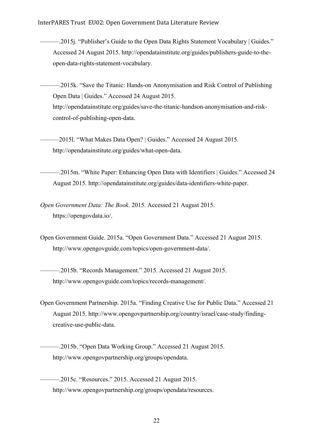-.2015. "Publisher's Guide to the Open Data Rights Statement Vocabulary | Guides." Accessed 24 August 2015. http://opendatainstitute.org/guides/publishers-guide-to-theopen-data-rights-statement-vocabulary.

———.2015k. "Save the Titanic: Hands-on Anonymisation and Risk Control of Publishing Open Data | Guides." Accessed 24 August 2015. http://opendatainstitute.org/guides/save-the-titanic-handson-anonymisation-and-riskcontrol-of-publishing-open-data.

-2015l. "What Makes Data Open? | Guides." Accessed 24 August 2015. http://opendatainstitute.org/guides/what-open-data.

———.2015m. "White Paper: Enhancing Open Data with Identifiers | Guides." Accessed 24 August 2015. http://opendatainstitute.org/guides/data-identifiers-white-paper.

*Open Government Data: The Book*. 2015. Accessed 21 August 2015. https://opengovdata.io/.

Open Government Guide. 2015a. "Open Government Data." Accessed 21 August 2015. http://www.opengovguide.com/topics/open-government-data/.

-.2015b. "Records Management." 2015. Accessed 21 August 2015. http://www.opengovguide.com/topics/records-management/.

Open Government Partnership. 2015a. "Finding Creative Use for Public Data." Accessed 21 August 2015. http://www.opengovpartnership.org/country/israel/case-study/findingcreative-use-public-data.

-.2015b. "Open Data Working Group." Accessed 21 August 2015. http://www.opengovpartnership.org/groups/opendata.

———.2015c. "Resources." 2015. Accessed 21 August 2015. http://www.opengovpartnership.org/groups/opendata/resources.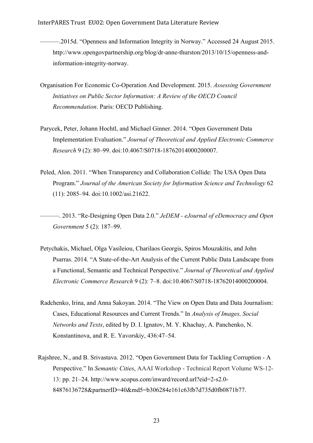-2015d. "Openness and Information Integrity in Norway." Accessed 24 August 2015. http://www.opengovpartnership.org/blog/dr-anne-thurston/2013/10/15/openness-andinformation-integrity-norway.

- Organisation For Economic Co-Operation And Development. 2015. *Assessing Government Initiatives on Public Sector Information: A Review of the OECD Council Recommendation*. Paris: OECD Publishing.
- Parycek, Peter, Johann Hochtl, and Michael Ginner. 2014. "Open Government Data Implementation Evaluation." *Journal of Theoretical and Applied Electronic Commerce Research* 9 (2): 80–99. doi:10.4067/S0718-18762014000200007.
- Peled, Alon. 2011. "When Transparency and Collaboration Collide: The USA Open Data Program." *Journal of the American Society for Information Science and Technology* 62 (11): 2085–94. doi:10.1002/asi.21622.

———. 2013. "Re-Designing Open Data 2.0." *JeDEM - eJournal of eDemocracy and Open Government* 5 (2): 187–99.

- Petychakis, Michael, Olga Vasileiou, Charilaos Georgis, Spiros Mouzakitis, and John Psarras. 2014. "A State-of-the-Art Analysis of the Current Public Data Landscape from a Functional, Semantic and Technical Perspective." *Journal of Theoretical and Applied Electronic Commerce Research* 9 (2): 7–8. doi:10.4067/S0718-18762014000200004.
- Radchenko, Irina, and Anna Sakoyan. 2014. "The View on Open Data and Data Journalism: Cases, Educational Resources and Current Trends." In *Analysis of Images, Social Networks and Texts*, edited by D. I. Ignatov, M. Y. Khachay, A. Panchenko, N. Konstantinova, and R. E. Yavorskiy, 436:47–54.
- Rajshree, N., and B. Srivastava. 2012. "Open Government Data for Tackling Corruption A Perspective." In *Semantic Cities*, AAAI Workshop - Technical Report Volume WS-12- 13: pp. 21–24. http://www.scopus.com/inward/record.url?eid=2-s2.0- 84876136728&partnerID=40&md5=b306284e161c63fb7d735d0fb0871b77.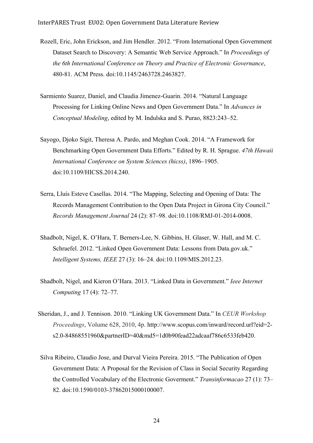- Rozell, Eric, John Erickson, and Jim Hendler. 2012. "From International Open Government Dataset Search to Discovery: A Semantic Web Service Approach." In *Proceedings of the 6th International Conference on Theory and Practice of Electronic Governance*, 480-81. ACM Press. doi:10.1145/2463728.2463827.
- Sarmiento Suarez, Daniel, and Claudia Jimenez-Guarin. 2014. "Natural Language Processing for Linking Online News and Open Government Data." In *Advances in Conceptual Modeling*, edited by M. Indulska and S. Purao, 8823:243–52.
- Sayogo, Djoko Sigit, Theresa A. Pardo, and Meghan Cook. 2014. "A Framework for Benchmarking Open Government Data Efforts." Edited by R. H. Sprague. *47th Hawaii International Conference on System Sciences (hicss)*, 1896–1905. doi:10.1109/HICSS.2014.240.
- Serra, Lluís Esteve Casellas. 2014. "The Mapping, Selecting and Opening of Data: The Records Management Contribution to the Open Data Project in Girona City Council." *Records Management Journal* 24 (2): 87–98. doi:10.1108/RMJ-01-2014-0008.
- Shadbolt, Nigel, K. O'Hara, T. Berners-Lee, N. Gibbins, H. Glaser, W. Hall, and M. C. Schraefel. 2012. "Linked Open Government Data: Lessons from Data.gov.uk." *Intelligent Systems, IEEE* 27 (3): 16–24. doi:10.1109/MIS.2012.23.
- Shadbolt, Nigel, and Kieron O'Hara. 2013. "Linked Data in Government." *Ieee Internet Computing* 17 (4): 72–77.
- Sheridan, J., and J. Tennison. 2010. "Linking UK Government Data." In *CEUR Workshop Proceedings*, Volume 628, 2010, 4p. http://www.scopus.com/inward/record.url?eid=2 s2.0-84868551960&partnerID=40&md5=1d0b90fead22adcaaf786c6533feb420.
- Silva Ribeiro, Claudio Jose, and Durval Vieira Pereira. 2015. "The Publication of Open Government Data: A Proposal for the Revision of Class in Social Security Regarding the Controlled Vocabulary of the Electronic Goverment." *Transinformacao* 27 (1): 73– 82. doi:10.1590/0103-37862015000100007.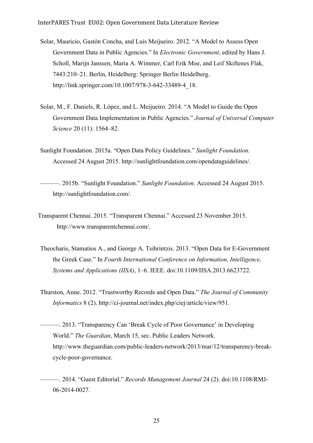- Solar, Mauricio, Gastón Concha, and Luis Meijueiro. 2012. "A Model to Assess Open Government Data in Public Agencies." In *Electronic Government*, edited by Hans J. Scholl, Marijn Janssen, Maria A. Wimmer, Carl Erik Moe, and Leif Skiftenes Flak, 7443:210–21. Berlin, Heidelberg: Springer Berlin Heidelberg. http://link.springer.com/10.1007/978-3-642-33489-4\_18.
- Solar, M., F. Daniels, R. López, and L. Meijueiro. 2014. "A Model to Guide the Open Government Data Implementation in Public Agencies." *Journal of Universal Computer Science* 20 (11): 1564–82.
- Sunlight Foundation. 2015a. "Open Data Policy Guidelines." *Sunlight Foundation*. Accessed 24 August 2015. http://sunlightfoundation.com/opendataguidelines/.
- ———. 2015b. "Sunlight Foundation." *Sunlight Foundation*. Accessed 24 August 2015. http://sunlightfoundation.com/.
- Transparent Chennai. 2015. "Transparent Chennai." Accessed 23 November 2015. http://www.transparentchennai.com/.
- Theocharis, Stamatios A., and George A. Tsihrintzis. 2013. "Open Data for E-Government the Greek Case." In *Fourth International Conference on Information, Intelligence, Systems and Applications (IISA)*, 1–6. IEEE. doi:10.1109/IISA.2013.6623722.
- Thurston, Anne. 2012. "Trustworthy Records and Open Data." *The Journal of Community Informatics* 8 (2). http://ci-journal.net/index.php/ciej/article/view/951.
- ———. 2013. "Transparency Can 'Break Cycle of Poor Governance' in Developing World." *The Guardian*, March 15, sec. Public Leaders Network. http://www.theguardian.com/public-leaders-network/2013/mar/12/transparency-breakcycle-poor-governance.
	- ———. 2014. "Guest Editorial." *Records Management Journal* 24 (2). doi:10.1108/RMJ-06-2014-0027.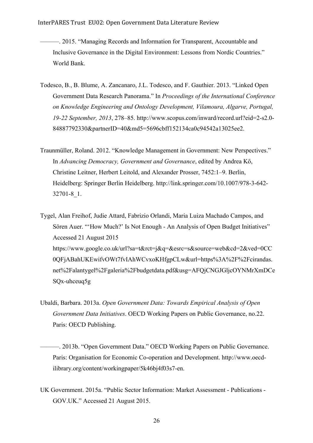- ———. 2015. "Managing Records and Information for Transparent, Accountable and Inclusive Governance in the Digital Environment: Lessons from Nordic Countries." World Bank.
- Todesco, B., B. Blume, A. Zancanaro, J.L. Todesco, and F. Gauthier. 2013. "Linked Open Government Data Research Panorama." In *Proceedings of the International Conference on Knowledge Engineering and Ontology Development, Vilamoura, Algarve, Portugal, 19-22 September, 2013*, 278–85. http://www.scopus.com/inward/record.url?eid=2-s2.0- 84887792330&partnerID=40&md5=5696cbff152134ca0c94542a13025ee2.
- Traunmüller, Roland. 2012. "Knowledge Management in Government: New Perspectives." In *Advancing Democracy, Government and Governance*, edited by Andrea Kő, Christine Leitner, Herbert Leitold, and Alexander Prosser, 7452:1–9. Berlin, Heidelberg: Springer Berlin Heidelberg. http://link.springer.com/10.1007/978-3-642- 32701-8\_1.

Tygel, Alan Freihof, Judie Attard, Fabrizio Orlandi, Maria Luiza Machado Campos, and Sören Auer. "'How Much?' Is Not Enough - An Analysis of Open Budget Initiatives" Accessed 21 August 2015 https://www.google.co.uk/url?sa=t&rct=j&q=&esrc=s&source=web&cd=2&ved=0CC 0QFjABahUKEwifvOWt7fvIAhWCvxoKHfgpCLw&url=https%3A%2F%2Fcirandas. net%2Falantygel%2Fgaleria%2Fbudgetdata.pdf&usg=AFQjCNGJGljcOYNMrXmDCe SQx-uhceuq5g

- Ubaldi, Barbara. 2013a. *Open Government Data: Towards Empirical Analysis of Open Government Data Initiatives*. OECD Working Papers on Public Governance, no.22. Paris: OECD Publishing.
	- ———. 2013b. "Open Government Data." OECD Working Papers on Public Governance. Paris: Organisation for Economic Co-operation and Development. http://www.oecdilibrary.org/content/workingpaper/5k46bj4f03s7-en.
- UK Government. 2015a. "Public Sector Information: Market Assessment Publications GOV.UK." Accessed 21 August 2015.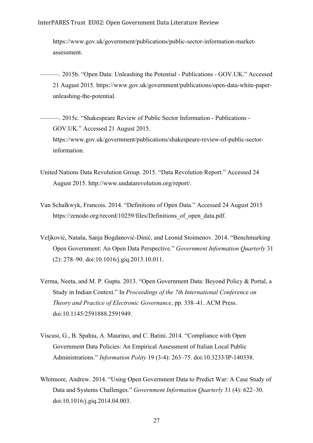https://www.gov.uk/government/publications/public-sector-information-marketassessment.

- ———. 2015b. "Open Data: Unleashing the Potential Publications GOV.UK." Accessed 21 August 2015. https://www.gov.uk/government/publications/open-data-white-paperunleashing-the-potential.
	- ———. 2015c. "Shakespeare Review of Public Sector Information Publications GOV.UK." Accessed 21 August 2015. https://www.gov.uk/government/publications/shakespeare-review-of-public-sectorinformation.
- United Nations Data Revolution Group. 2015. "Data Revolution Report." Accessed 24 August 2015. http://www.undatarevolution.org/report/.
- Van Schalkwyk, Francois. 2014. "Definitions of Open Data." Accessed 24 August 2015 https://zenodo.org/record/10259/files/Definitions of open data.pdf.
- Veljković, Nataša, Sanja Bogdanović-Dinić, and Leonid Stoimenov. 2014. "Benchmarking Open Government: An Open Data Perspective." *Government Information Quarterly* 31 (2): 278–90. doi:10.1016/j.giq.2013.10.011.
- Verma, Neeta, and M. P. Gupta. 2013. "Open Government Data: Beyond Policy & Portal, a Study in Indian Context." In *Proceedings of the 7th International Conference on Theory and Practice of Electronic Governance*, pp. 338–41. ACM Press. doi:10.1145/2591888.2591949.
- Viscusi, G., B. Spahiu, A. Maurino, and C. Batini. 2014. "Compliance with Open Government Data Policies: An Empirical Assessment of Italian Local Public Administrations." *Information Polity* 19 (3-4): 263–75. doi:10.3233/IP-140338.
- Whitmore, Andrew. 2014. "Using Open Government Data to Predict War: A Case Study of Data and Systems Challenges." *Government Information Quarterly* 31 (4): 622–30. doi:10.1016/j.giq.2014.04.003.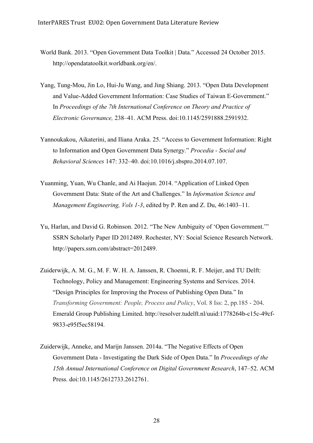- World Bank. 2013. "Open Government Data Toolkit | Data." Accessed 24 October 2015. http://opendatatoolkit.worldbank.org/en/.
- Yang, Tung-Mou, Jin Lo, Hui-Ju Wang, and Jing Shiang. 2013. "Open Data Development and Value-Added Government Information: Case Studies of Taiwan E-Government." In *Proceedings of the 7th International Conference on Theory and Practice of Electronic Governance,* 238–41. ACM Press. doi:10.1145/2591888.2591932.
- Yannoukakou, Aikaterini, and Iliana Araka. 25. "Access to Government Information: Right to Information and Open Government Data Synergy." *Procedia - Social and Behavioral Sciences* 147: 332–40. doi:10.1016/j.sbspro.2014.07.107.
- Yuanming, Yuan, Wu Chanle, and Ai Haojun. 2014. "Application of Linked Open Government Data: State of the Art and Challenges." In *Information Science and Management Engineering, Vols 1-3*, edited by P. Ren and Z. Du, 46:1403–11.
- Yu, Harlan, and David G. Robinson. 2012. "The New Ambiguity of 'Open Government.'" SSRN Scholarly Paper ID 2012489. Rochester, NY: Social Science Research Network. http://papers.ssrn.com/abstract=2012489.
- Zuiderwijk, A. M. G., M. F. W. H. A. Janssen, R. Choenni, R. F. Meijer, and TU Delft: Technology, Policy and Management: Engineering Systems and Services. 2014. "Design Principles for Improving the Process of Publishing Open Data." In *Transforming Government: People, Process and Policy*, Vol. 8 Iss: 2, pp.185 - 204. Emerald Group Publishing Limited. http://resolver.tudelft.nl/uuid:1778264b-c15c-49cf-9833-e95f5ec58194.
- Zuiderwijk, Anneke, and Marijn Janssen. 2014a. "The Negative Effects of Open Government Data - Investigating the Dark Side of Open Data." In *Proceedings of the 15th Annual International Conference on Digital Government Research*, 147–52. ACM Press. doi:10.1145/2612733.2612761.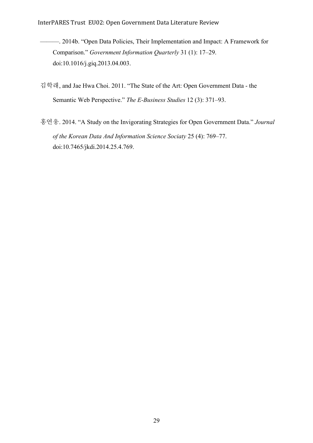InterPARES Trust EU02: Open Government Data Literature Review

- ———. 2014b. "Open Data Policies, Their Implementation and Impact: A Framework for Comparison." *Government Information Quarterly* 31 (1): 17–29. doi:10.1016/j.giq.2013.04.003.
- 김학래, and Jae Hwa Choi. 2011. "The State of the Art: Open Government Data the Semantic Web Perspective." *The E-Business Studies* 12 (3): 371–93.
- 홍연웅. 2014. "A Study on the Invigorating Strategies for Open Government Data." *Journal of the Korean Data And Information Science Sociaty* 25 (4): 769–77. doi:10.7465/jkdi.2014.25.4.769.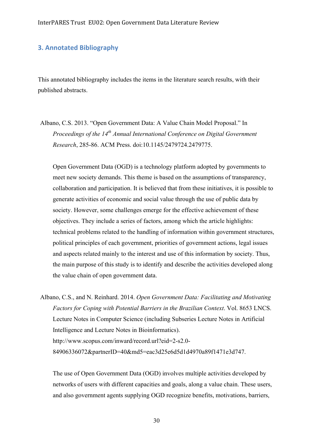#### **3. Annotated Bibliography**

This annotated bibliography includes the items in the literature search results, with their published abstracts.

Albano, C.S. 2013. "Open Government Data: A Value Chain Model Proposal." In *Proceedings of the 14th Annual International Conference on Digital Government Research*, 285-86. ACM Press. doi:10.1145/2479724.2479775.

Open Government Data (OGD) is a technology platform adopted by governments to meet new society demands. This theme is based on the assumptions of transparency, collaboration and participation. It is believed that from these initiatives, it is possible to generate activities of economic and social value through the use of public data by society. However, some challenges emerge for the effective achievement of these objectives. They include a series of factors, among which the article highlights: technical problems related to the handling of information within government structures, political principles of each government, priorities of government actions, legal issues and aspects related mainly to the interest and use of this information by society. Thus, the main purpose of this study is to identify and describe the activities developed along the value chain of open government data.

Albano, C.S., and N. Reinhard. 2014. *Open Government Data: Facilitating and Motivating Factors for Coping with Potential Barriers in the Brazilian Context*. Vol. 8653 LNCS. Lecture Notes in Computer Science (including Subseries Lecture Notes in Artificial Intelligence and Lecture Notes in Bioinformatics). http://www.scopus.com/inward/record.url?eid=2-s2.0- 84906336072&partnerID=40&md5=eac3d25e6d5d1d4970a89f1471e3d747.

The use of Open Government Data (OGD) involves multiple activities developed by networks of users with different capacities and goals, along a value chain. These users, and also government agents supplying OGD recognize benefits, motivations, barriers,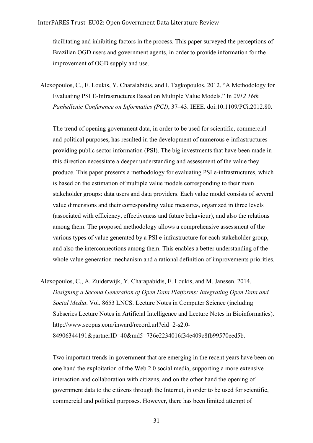facilitating and inhibiting factors in the process. This paper surveyed the perceptions of Brazilian OGD users and government agents, in order to provide information for the improvement of OGD supply and use.

Alexopoulos, C., E. Loukis, Y. Charalabidis, and I. Tagkopoulos. 2012. "A Methodology for Evaluating PSI E-Infrastructures Based on Multiple Value Models." In *2012 16th Panhellenic Conference on Informatics (PCI)*, 37–43. IEEE. doi:10.1109/PCi.2012.80.

The trend of opening government data, in order to be used for scientific, commercial and political purposes, has resulted in the development of numerous e-infrastructures providing public sector information (PSI). The big investments that have been made in this direction necessitate a deeper understanding and assessment of the value they produce. This paper presents a methodology for evaluating PSI e-infrastructures, which is based on the estimation of multiple value models corresponding to their main stakeholder groups: data users and data providers. Each value model consists of several value dimensions and their corresponding value measures, organized in three levels (associated with efficiency, effectiveness and future behaviour), and also the relations among them. The proposed methodology allows a comprehensive assessment of the various types of value generated by a PSI e-infrastructure for each stakeholder group, and also the interconnections among them. This enables a better understanding of the whole value generation mechanism and a rational definition of improvements priorities.

Alexopoulos, C., A. Zuiderwijk, Y. Charapabidis, E. Loukis, and M. Janssen. 2014. *Designing a Second Generation of Open Data Platforms: Integrating Open Data and Social Media*. Vol. 8653 LNCS. Lecture Notes in Computer Science (including Subseries Lecture Notes in Artificial Intelligence and Lecture Notes in Bioinformatics). http://www.scopus.com/inward/record.url?eid=2-s2.0- 84906344191&partnerID=40&md5=736e2234016f34e409c8fb99570eed5b.

Two important trends in government that are emerging in the recent years have been on one hand the exploitation of the Web 2.0 social media, supporting a more extensive interaction and collaboration with citizens, and on the other hand the opening of government data to the citizens through the Internet, in order to be used for scientific, commercial and political purposes. However, there has been limited attempt of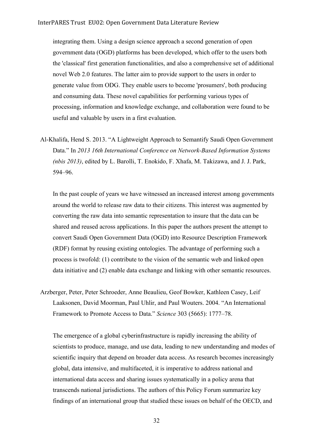integrating them. Using a design science approach a second generation of open government data (OGD) platforms has been developed, which offer to the users both the 'classical' first generation functionalities, and also a comprehensive set of additional novel Web 2.0 features. The latter aim to provide support to the users in order to generate value from ODG. They enable users to become 'prosumers', both producing and consuming data. These novel capabilities for performing various types of processing, information and knowledge exchange, and collaboration were found to be useful and valuable by users in a first evaluation.

Al-Khalifa, Hend S. 2013. "A Lightweight Approach to Semantify Saudi Open Government Data." In *2013 16th International Conference on Network-Based Information Systems (nbis 2013)*, edited by L. Barolli, T. Enokido, F. Xhafa, M. Takizawa, and J. J. Park, 594–96.

In the past couple of years we have witnessed an increased interest among governments around the world to release raw data to their citizens. This interest was augmented by converting the raw data into semantic representation to insure that the data can be shared and reused across applications. In this paper the authors present the attempt to convert Saudi Open Government Data (OGD) into Resource Description Framework (RDF) format by reusing existing ontologies. The advantage of performing such a process is twofold: (1) contribute to the vision of the semantic web and linked open data initiative and (2) enable data exchange and linking with other semantic resources.

Arzberger, Peter, Peter Schroeder, Anne Beaulieu, Geof Bowker, Kathleen Casey, Leif Laaksonen, David Moorman, Paul Uhlir, and Paul Wouters. 2004. "An International Framework to Promote Access to Data." *Science* 303 (5665): 1777–78.

The emergence of a global cyberinfrastructure is rapidly increasing the ability of scientists to produce, manage, and use data, leading to new understanding and modes of scientific inquiry that depend on broader data access. As research becomes increasingly global, data intensive, and multifaceted, it is imperative to address national and international data access and sharing issues systematically in a policy arena that transcends national jurisdictions. The authors of this Policy Forum summarize key findings of an international group that studied these issues on behalf of the OECD, and

32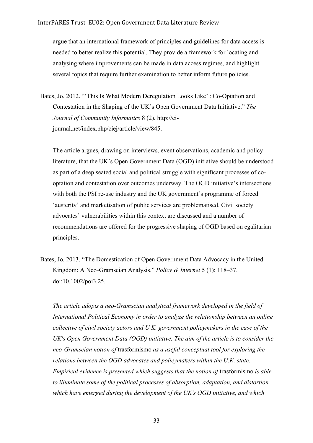argue that an international framework of principles and guidelines for data access is needed to better realize this potential. They provide a framework for locating and analysing where improvements can be made in data access regimes, and highlight several topics that require further examination to better inform future policies.

Bates, Jo. 2012. "'This Is What Modern Deregulation Looks Like' : Co-Optation and Contestation in the Shaping of the UK's Open Government Data Initiative." *The Journal of Community Informatics* 8 (2). http://cijournal.net/index.php/ciej/article/view/845.

The article argues, drawing on interviews, event observations, academic and policy literature, that the UK's Open Government Data (OGD) initiative should be understood as part of a deep seated social and political struggle with significant processes of cooptation and contestation over outcomes underway. The OGD initiative's intersections with both the PSI re-use industry and the UK government's programme of forced 'austerity' and marketisation of public services are problematised. Civil society advocates' vulnerabilities within this context are discussed and a number of recommendations are offered for the progressive shaping of OGD based on egalitarian principles.

Bates, Jo. 2013. "The Domestication of Open Government Data Advocacy in the United Kingdom: A Neo‐Gramscian Analysis." *Policy & Internet* 5 (1): 118–37. doi:10.1002/poi3.25.

*The article adopts a neo-Gramscian analytical framework developed in the field of International Political Economy in order to analyze the relationship between an online collective of civil society actors and U.K. government policymakers in the case of the UK's Open Government Data (OGD) initiative. The aim of the article is to consider the neo-Gramscian notion of* trasformismo *as a useful conceptual tool for exploring the relations between the OGD advocates and policymakers within the U.K. state. Empirical evidence is presented which suggests that the notion of* trasformismo *is able to illuminate some of the political processes of absorption, adaptation, and distortion which have emerged during the development of the UK's OGD initiative, and which*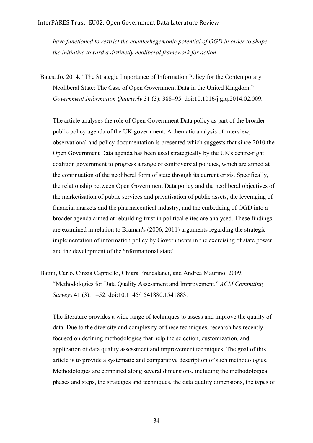*have functioned to restrict the counterhegemonic potential of OGD in order to shape the initiative toward a distinctly neoliberal framework for action*.

Bates, Jo. 2014. "The Strategic Importance of Information Policy for the Contemporary Neoliberal State: The Case of Open Government Data in the United Kingdom." *Government Information Quarterly* 31 (3): 388–95. doi:10.1016/j.giq.2014.02.009.

The article analyses the role of Open Government Data policy as part of the broader public policy agenda of the UK government. A thematic analysis of interview, observational and policy documentation is presented which suggests that since 2010 the Open Government Data agenda has been used strategically by the UK's centre-right coalition government to progress a range of controversial policies, which are aimed at the continuation of the neoliberal form of state through its current crisis. Specifically, the relationship between Open Government Data policy and the neoliberal objectives of the marketisation of public services and privatisation of public assets, the leveraging of financial markets and the pharmaceutical industry, and the embedding of OGD into a broader agenda aimed at rebuilding trust in political elites are analysed. These findings are examined in relation to Braman's (2006, 2011) arguments regarding the strategic implementation of information policy by Governments in the exercising of state power, and the development of the 'informational state'.

Batini, Carlo, Cinzia Cappiello, Chiara Francalanci, and Andrea Maurino. 2009. "Methodologies for Data Quality Assessment and Improvement." *ACM Computing Surveys* 41 (3): 1–52. doi:10.1145/1541880.1541883.

The literature provides a wide range of techniques to assess and improve the quality of data. Due to the diversity and complexity of these techniques, research has recently focused on defining methodologies that help the selection, customization, and application of data quality assessment and improvement techniques. The goal of this article is to provide a systematic and comparative description of such methodologies. Methodologies are compared along several dimensions, including the methodological phases and steps, the strategies and techniques, the data quality dimensions, the types of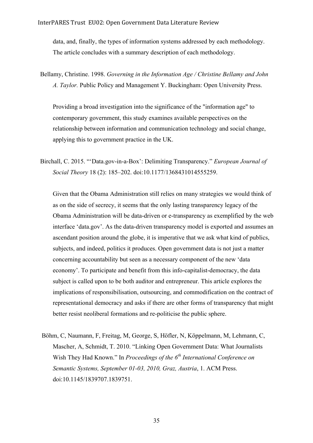data, and, finally, the types of information systems addressed by each methodology. The article concludes with a summary description of each methodology.

Bellamy, Christine. 1998. *Governing in the Information Age / Christine Bellamy and John A. Taylor.* Public Policy and Management Y. Buckingham: Open University Press.

Providing a broad investigation into the significance of the "information age" to contemporary government, this study examines available perspectives on the relationship between information and communication technology and social change, applying this to government practice in the UK.

Birchall, C. 2015. "'Data.gov-in-a-Box': Delimiting Transparency." *European Journal of Social Theory* 18 (2): 185–202. doi:10.1177/1368431014555259.

Given that the Obama Administration still relies on many strategies we would think of as on the side of secrecy, it seems that the only lasting transparency legacy of the Obama Administration will be data-driven or e-transparency as exemplified by the web interface 'data.gov'. As the data-driven transparency model is exported and assumes an ascendant position around the globe, it is imperative that we ask what kind of publics, subjects, and indeed, politics it produces. Open government data is not just a matter concerning accountability but seen as a necessary component of the new 'data economy'. To participate and benefit from this info-capitalist-democracy, the data subject is called upon to be both auditor and entrepreneur. This article explores the implications of responsibilisation, outsourcing, and commodification on the contract of representational democracy and asks if there are other forms of transparency that might better resist neoliberal formations and re-politicise the public sphere.

Böhm, C, Naumann, F, Freitag, M, George, S, Höfler, N, Köppelmann, M, Lehmann, C, Mascher, A, Schmidt, T. 2010. "Linking Open Government Data: What Journalists Wish They Had Known." In *Proceedings of the 6th International Conference on Semantic Systems, September 01-03, 2010, Graz, Austria*, 1. ACM Press. doi:10.1145/1839707.1839751.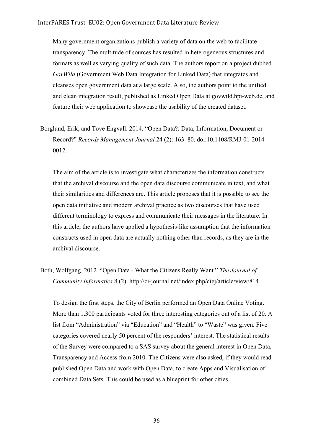Many government organizations publish a variety of data on the web to facilitate transparency. The multitude of sources has resulted in heterogeneous structures and formats as well as varying quality of such data. The authors report on a project dubbed *GovWild* (Government Web Data Integration for Linked Data) that integrates and cleanses open government data at a large scale. Also, the authors point to the unified and clean integration result, published as Linked Open Data at govwild.hpi-web.de, and feature their web application to showcase the usability of the created dataset.

Borglund, Erik, and Tove Engvall. 2014. "Open Data?: Data, Information, Document or Record?" *Records Management Journal* 24 (2): 163–80. doi:10.1108/RMJ-01-2014- 0012.

The aim of the article is to investigate what characterizes the information constructs that the archival discourse and the open data discourse communicate in text, and what their similarities and differences are. This article proposes that it is possible to see the open data initiative and modern archival practice as two discourses that have used different terminology to express and communicate their messages in the literature. In this article, the authors have applied a hypothesis-like assumption that the information constructs used in open data are actually nothing other than records, as they are in the archival discourse.

Both, Wolfgang. 2012. "Open Data - What the Citizens Really Want." *The Journal of Community Informatics* 8 (2). http://ci-journal.net/index.php/ciej/article/view/814.

To design the first steps, the City of Berlin performed an Open Data Online Voting. More than 1.300 participants voted for three interesting categories out of a list of 20. A list from "Administration" via "Education" and "Health" to "Waste" was given. Five categories covered nearly 50 percent of the responders' interest. The statistical results of the Survey were compared to a SAS survey about the general interest in Open Data, Transparency and Access from 2010. The Citizens were also asked, if they would read published Open Data and work with Open Data, to create Apps and Visualisation of combined Data Sets. This could be used as a blueprint for other cities.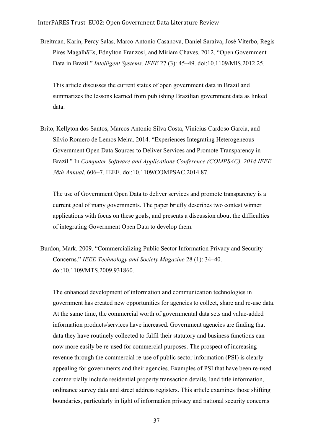Breitman, Karin, Percy Salas, Marco Antonio Casanova, Daniel Saraiva, José Viterbo, Regis Pires MagalhãEs, Ednylton Franzosi, and Miriam Chaves. 2012. "Open Government Data in Brazil." *Intelligent Systems, IEEE* 27 (3): 45–49. doi:10.1109/MIS.2012.25.

This article discusses the current status of open government data in Brazil and summarizes the lessons learned from publishing Brazilian government data as linked data.

Brito, Kellyton dos Santos, Marcos Antonio Silva Costa, Vinicius Cardoso Garcia, and Silvio Romero de Lemos Meira. 2014. "Experiences Integrating Heterogeneous Government Open Data Sources to Deliver Services and Promote Transparency in Brazil." In *Computer Software and Applications Conference (COMPSAC), 2014 IEEE 38th Annual*, 606–7. IEEE. doi:10.1109/COMPSAC.2014.87.

The use of Government Open Data to deliver services and promote transparency is a current goal of many governments. The paper briefly describes two contest winner applications with focus on these goals, and presents a discussion about the difficulties of integrating Government Open Data to develop them.

Burdon, Mark. 2009. "Commercializing Public Sector Information Privacy and Security Concerns." *IEEE Technology and Society Magazine* 28 (1): 34–40. doi:10.1109/MTS.2009.931860.

The enhanced development of information and communication technologies in government has created new opportunities for agencies to collect, share and re-use data. At the same time, the commercial worth of governmental data sets and value-added information products/services have increased. Government agencies are finding that data they have routinely collected to fulfil their statutory and business functions can now more easily be re-used for commercial purposes. The prospect of increasing revenue through the commercial re-use of public sector information (PSI) is clearly appealing for governments and their agencies. Examples of PSI that have been re-used commercially include residential property transaction details, land title information, ordinance survey data and street address registers. This article examines those shifting boundaries, particularly in light of information privacy and national security concerns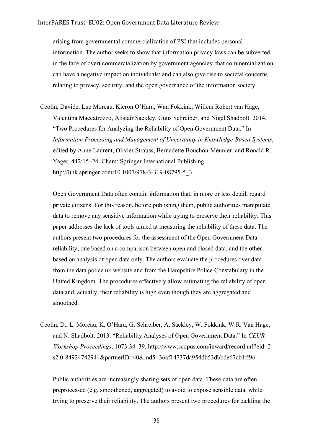arising from governmental commercialization of PSI that includes personal information. The author seeks to show that information privacy laws can be subverted in the face of overt commercialization by government agencies; that commercialization can have a negative impact on individuals; and can also give rise to societal concerns relating to privacy, security, and the open governance of the information society.

Ceolin, Davide, Luc Moreau, Kieron O'Hara, Wan Fokkink, Willem Robert van Hage, Valentina Maccatrozzo, Alistair Sackley, Guus Schreiber, and Nigel Shadbolt. 2014. "Two Procedures for Analyzing the Reliability of Open Government Data." In *Information Processing and Management of Uncertainty in Knowledge-Based Systems*, edited by Anne Laurent, Olivier Strauss, Bernadette Bouchon-Meunier, and Ronald R. Yager, 442:15–24. Cham: Springer International Publishing. http://link.springer.com/10.1007/978-3-319-08795-5\_3.

Open Government Data often contain information that, in more or less detail, regard private citizens. For this reason, before publishing them, public authorities manipulate data to remove any sensitive information while trying to preserve their reliability. This paper addresses the lack of tools aimed at measuring the reliability of these data. The authors present two procedures for the assessment of the Open Government Data reliability, one based on a comparison between open and closed data, and the other based on analysis of open data only. The authors evaluate the procedures over data from the data.police.uk website and from the Hampshire Police Constabulary in the United Kingdom. The procedures effectively allow estimating the reliability of open data and, actually, their reliability is high even though they are aggregated and smoothed.

Ceolin, D., L. Moreau, K. O'Hara, G. Schreiber, A. Sackley, W. Fokkink, W.R. Van Hage, and N. Shadbolt. 2013. "Reliability Analyses of Open Government Data." In *CEUR Workshop Proceedings*, 1073:34–39. http://www.scopus.com/inward/record.url?eid=2 s2.0-84924742944&partnerID=40&md5=36af14737da954db53dbbde67cb1ff96.

Public authorities are increasingly sharing sets of open data. These data are often preprocessed (e.g. smoothened, aggregated) to avoid to expose sensible data, while trying to preserve their reliability. The authors present two procedures for tackling the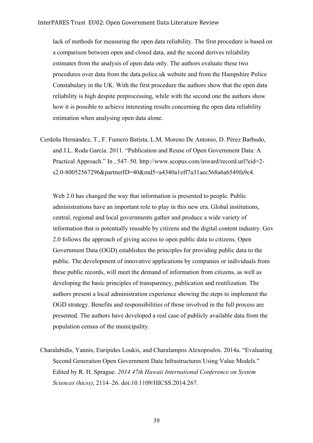lack of methods for measuring the open data reliability. The first procedure is based on a comparison between open and closed data, and the second derives reliability estimates from the analysis of open data only. The authors evaluate these two procedures over data from the data.police.uk website and from the Hampshire Police Constabulary in the UK. With the first procedure the authors show that the open data reliability is high despite preprocessing, while with the second one the authors show how it is possible to achieve interesting results concerning the open data reliability estimation when analysing open data alone.

Cerdeña Hernández, T., F. Fumero Batista, L.M. Moreno De Antonio, D. Pérez Barbudo, and J.L. Roda García. 2011. "Publication and Reuse of Open Government Data: A Practical Approach." In , 547–50. http://www.scopus.com/inward/record.url?eid=2 s2.0-80052567296&partnerID=40&md5=a4340a1eff7a31aec568a6a6549fa9c4.

Web 2.0 has changed the way that information is presented to people. Public administrations have an important role to play in this new era. Global institutions, central, regional and local governments gather and produce a wide variety of information that is potentially reusable by citizens and the digital content industry. Gov 2.0 follows the approach of giving access to open public data to citizens. Open Government Data (OGD) establishes the principles for providing public data to the public. The development of innovative applications by companies or individuals from these public records, will meet the demand of information from citizens, as well as developing the basic principles of transparency, publication and reutilization. The authors present a local administration experience showing the steps to implement the OGD strategy. Benefits and responsibilities of those involved in the full process are presented. The authors have developed a real case of publicly available data from the population census of the municipality.

Charalabidis, Yannis, Euripides Loukis, and Charalampos Alexopoulos. 2014a. "Evaluating Second Generation Open Government Data Infrastructures Using Value Models." Edited by R. H. Sprague. *2014 47th Hawaii International Conference on System Sciences (hicss)*, 2114–26. doi:10.1109/HICSS.2014.267.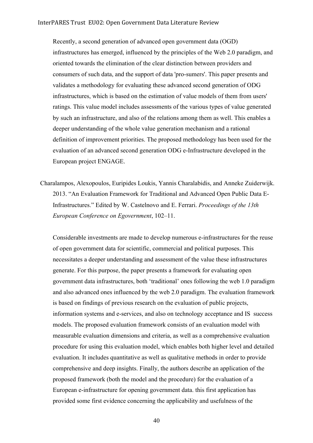Recently, a second generation of advanced open government data (OGD) infrastructures has emerged, influenced by the principles of the Web 2.0 paradigm, and oriented towards the elimination of the clear distinction between providers and consumers of such data, and the support of data 'pro-sumers'. This paper presents and validates a methodology for evaluating these advanced second generation of ODG infrastructures, which is based on the estimation of value models of them from users' ratings. This value model includes assessments of the various types of value generated by such an infrastructure, and also of the relations among them as well. This enables a deeper understanding of the whole value generation mechanism and a rational definition of improvement priorities. The proposed methodology has been used for the evaluation of an advanced second generation ODG e-Infrastructure developed in the European project ENGAGE.

Charalampos, Alexopoulos, Euripides Loukis, Yannis Charalabidis, and Anneke Zuiderwijk. 2013. "An Evaluation Framework for Traditional and Advanced Open Public Data E-Infrastructures." Edited by W. Castelnovo and E. Ferrari. *Proceedings of the 13th European Conference on Egovernment*, 102–11.

Considerable investments are made to develop numerous e-infrastructures for the reuse of open government data for scientific, commercial and political purposes. This necessitates a deeper understanding and assessment of the value these infrastructures generate. For this purpose, the paper presents a framework for evaluating open government data infrastructures, both 'traditional' ones following the web 1.0 paradigm and also advanced ones influenced by the web 2.0 paradigm. The evaluation framework is based on findings of previous research on the evaluation of public projects, information systems and e-services, and also on technology acceptance and IS success models. The proposed evaluation framework consists of an evaluation model with measurable evaluation dimensions and criteria, as well as a comprehensive evaluation procedure for using this evaluation model, which enables both higher level and detailed evaluation. It includes quantitative as well as qualitative methods in order to provide comprehensive and deep insights. Finally, the authors describe an application of the proposed framework (both the model and the procedure) for the evaluation of a European e-infrastructure for opening government data. this first application has provided some first evidence concerning the applicability and usefulness of the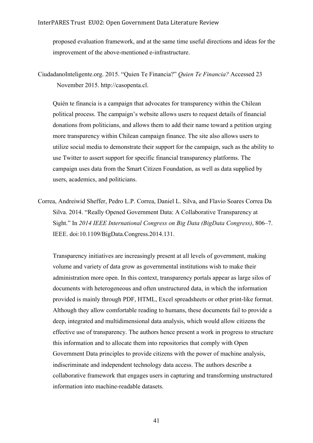proposed evaluation framework, and at the same time useful directions and ideas for the improvement of the above-mentioned e-infrastructure.

Quién te financia is a campaign that advocates for transparency within the Chilean political process. The campaign's website allows users to request details of financial donations from politicians, and allows them to add their name toward a petition urging more transparency within Chilean campaign finance. The site also allows users to utilize social media to demonstrate their support for the campaign, such as the ability to use Twitter to assert support for specific financial transparency platforms. The campaign uses data from the Smart Citizen Foundation, as well as data supplied by users, academics, and politicians.

Correa, Andreiwid Sheffer, Pedro L.P. Correa, Daniel L. Silva, and Flavio Soares Correa Da Silva. 2014. "Really Opened Government Data: A Collaborative Transparency at Sight." In *2014 IEEE International Congress on Big Data (BigData Congress)*, 806–7. IEEE. doi:10.1109/BigData.Congress.2014.131.

Transparency initiatives are increasingly present at all levels of government, making volume and variety of data grow as governmental institutions wish to make their administration more open. In this context, transparency portals appear as large silos of documents with heterogeneous and often unstructured data, in which the information provided is mainly through PDF, HTML, Excel spreadsheets or other print-like format. Although they allow comfortable reading to humans, these documents fail to provide a deep, integrated and multidimensional data analysis, which would allow citizens the effective use of transparency. The authors hence present a work in progress to structure this information and to allocate them into repositories that comply with Open Government Data principles to provide citizens with the power of machine analysis, indiscriminate and independent technology data access. The authors describe a collaborative framework that engages users in capturing and transforming unstructured information into machine-readable datasets.

CiudadanoInteligente.org. 2015. "Quien Te Financia?" *Quien Te Financia?* Accessed 23 November 2015. http://casopenta.cl.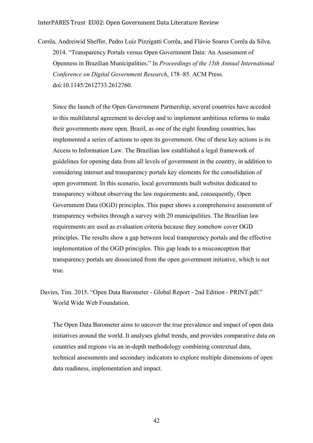Corrêa, Andreiwid Sheffer, Pedro Luiz Pizzigatti Corrêa, and Flávio Soares Corrêa da Silva. 2014. "Transparency Portals versus Open Government Data: An Assessment of Openness in Brazilian Municipalities." In *Proceedings of the 15th Annual International Conference on Digital Government Research*, 178–85. ACM Press. doi:10.1145/2612733.2612760.

Since the launch of the Open Government Partnership, several countries have acceded to this multilateral agreement to develop and to implement ambitious reforms to make their governments more open. Brazil, as one of the eight founding countries, has implemented a series of actions to open its government. One of these key actions is its Access to Information Law. The Brazilian law established a legal framework of guidelines for opening data from all levels of government in the country, in addition to considering internet and transparency portals key elements for the consolidation of open government. In this scenario, local governments built websites dedicated to transparency without observing the law requirements and, consequently, Open Government Data (OGD) principles. This paper shows a comprehensive assessment of transparency websites through a survey with 20 municipalities. The Brazilian law requirements are used as evaluation criteria because they somehow cover OGD principles. The results show a gap between local transparency portals and the effective implementation of the OGD principles. This gap leads to a misconception that transparency portals are dissociated from the open government initiative, which is not true.

Davies, Tim. 2015. "Open Data Barometer - Global Report - 2nd Edition - PRINT.pdf." World Wide Web Foundation.

The Open Data Barometer aims to uncover the true prevalence and impact of open data initiatives around the world. It analyses global trends, and provides comparative data on countries and regions via an in-depth methodology combining contextual data, technical assessments and secondary indicators to explore multiple dimensions of open data readiness, implementation and impact.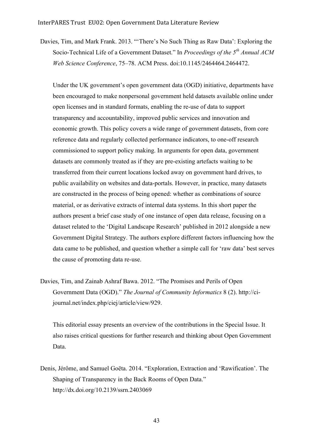Davies, Tim, and Mark Frank. 2013. "'There's No Such Thing as Raw Data': Exploring the Socio-Technical Life of a Government Dataset." In *Proceedings of the 5th Annual ACM Web Science Conference*, 75–78. ACM Press. doi:10.1145/2464464.2464472.

Under the UK government's open government data (OGD) initiative, departments have been encouraged to make nonpersonal government held datasets available online under open licenses and in standard formats, enabling the re-use of data to support transparency and accountability, improved public services and innovation and economic growth. This policy covers a wide range of government datasets, from core reference data and regularly collected performance indicators, to one-off research commissioned to support policy making. In arguments for open data, government datasets are commonly treated as if they are pre-existing artefacts waiting to be transferred from their current locations locked away on government hard drives, to public availability on websites and data-portals. However, in practice, many datasets are constructed in the process of being opened: whether as combinations of source material, or as derivative extracts of internal data systems. In this short paper the authors present a brief case study of one instance of open data release, focusing on a dataset related to the 'Digital Landscape Research' published in 2012 alongside a new Government Digital Strategy. The authors explore different factors influencing how the data came to be published, and question whether a simple call for 'raw data' best serves the cause of promoting data re-use.

Davies, Tim, and Zainab Ashraf Bawa. 2012. "The Promises and Perils of Open Government Data (OGD)." *The Journal of Community Informatics* 8 (2). http://cijournal.net/index.php/ciej/article/view/929.

This editorial essay presents an overview of the contributions in the Special Issue. It also raises critical questions for further research and thinking about Open Government Data.

Denis, Jérôme, and Samuel Goëta. 2014. "Exploration, Extraction and 'Rawification'. The Shaping of Transparency in the Back Rooms of Open Data." http://dx.doi.org/10.2139/ssrn.2403069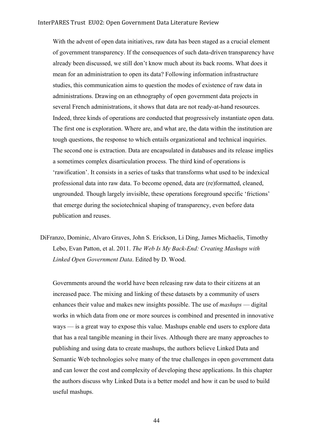With the advent of open data initiatives, raw data has been staged as a crucial element of government transparency. If the consequences of such data-driven transparency have already been discussed, we still don't know much about its back rooms. What does it mean for an administration to open its data? Following information infrastructure studies, this communication aims to question the modes of existence of raw data in administrations. Drawing on an ethnography of open government data projects in several French administrations, it shows that data are not ready-at-hand resources. Indeed, three kinds of operations are conducted that progressively instantiate open data. The first one is exploration. Where are, and what are, the data within the institution are tough questions, the response to which entails organizational and technical inquiries. The second one is extraction. Data are encapsulated in databases and its release implies a sometimes complex disarticulation process. The third kind of operations is 'rawification'. It consists in a series of tasks that transforms what used to be indexical professional data into raw data. To become opened, data are (re)formatted, cleaned, ungrounded. Though largely invisible, these operations foreground specific 'frictions' that emerge during the sociotechnical shaping of transparency, even before data publication and reuses.

DiFranzo, Dominic, Alvaro Graves, John S. Erickson, Li Ding, James Michaelis, Timothy Lebo, Evan Patton, et al. 2011. *The Web Is My Back-End: Creating Mashups with Linked Open Government Data*. Edited by D. Wood.

Governments around the world have been releasing raw data to their citizens at an increased pace. The mixing and linking of these datasets by a community of users enhances their value and makes new insights possible. The use of *mashups* — digital works in which data from one or more sources is combined and presented in innovative ways — is a great way to expose this value. Mashups enable end users to explore data that has a real tangible meaning in their lives. Although there are many approaches to publishing and using data to create mashups, the authors believe Linked Data and Semantic Web technologies solve many of the true challenges in open government data and can lower the cost and complexity of developing these applications. In this chapter the authors discuss why Linked Data is a better model and how it can be used to build useful mashups.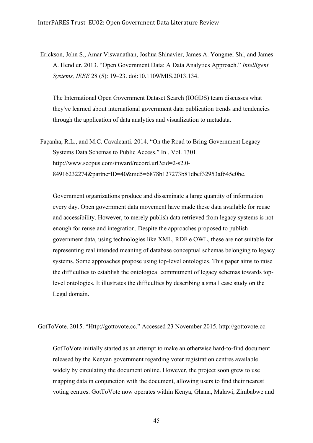Erickson, John S., Amar Viswanathan, Joshua Shinavier, James A. Yongmei Shi, and James A. Hendler. 2013. "Open Government Data: A Data Analytics Approach." *Intelligent Systems, IEEE* 28 (5): 19–23. doi:10.1109/MIS.2013.134.

The International Open Government Dataset Search (IOGDS) team discusses what they've learned about international government data publication trends and tendencies through the application of data analytics and visualization to metadata.

Façanha, R.L., and M.C. Cavalcanti. 2014. "On the Road to Bring Government Legacy Systems Data Schemas to Public Access." In . Vol. 1301. http://www.scopus.com/inward/record.url?eid=2-s2.0- 84916232274&partnerID=40&md5=6878b127273b81dbcf32953af645e0be.

Government organizations produce and disseminate a large quantity of information every day. Open government data movement have made these data available for reuse and accessibility. However, to merely publish data retrieved from legacy systems is not enough for reuse and integration. Despite the approaches proposed to publish government data, using technologies like XML, RDF e OWL, these are not suitable for representing real intended meaning of database conceptual schemas belonging to legacy systems. Some approaches propose using top-level ontologies. This paper aims to raise the difficulties to establish the ontological commitment of legacy schemas towards toplevel ontologies. It illustrates the difficulties by describing a small case study on the Legal domain.

GotToVote. 2015. "Http://gottovote.cc." Accessed 23 November 2015. http://gottovote.cc.

GotToVote initially started as an attempt to make an otherwise hard-to-find document released by the Kenyan government regarding voter registration centres available widely by circulating the document online. However, the project soon grew to use mapping data in conjunction with the document, allowing users to find their nearest voting centres. GotToVote now operates within Kenya, Ghana, Malawi, Zimbabwe and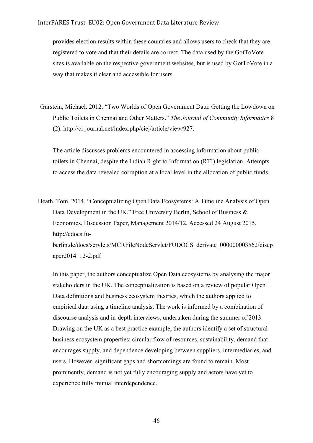provides election results within these countries and allows users to check that they are registered to vote and that their details are correct. The data used by the GotToVote sites is available on the respective government websites, but is used by GotToVote in a way that makes it clear and accessible for users.

Gurstein, Michael. 2012. "Two Worlds of Open Government Data: Getting the Lowdown on Public Toilets in Chennai and Other Matters." *The Journal of Community Informatics* 8 (2). http://ci-journal.net/index.php/ciej/article/view/927.

The article discusses problems encountered in accessing information about public toilets in Chennai, despite the Indian Right to Information (RTI) legislation. Attempts to access the data revealed corruption at a local level in the allocation of public funds.

Heath, Tom. 2014. "Conceptualizing Open Data Ecosystems: A Timeline Analysis of Open Data Development in the UK." Free University Berlin, School of Business & Economics, Discussion Paper, Management 2014/12, Accessed 24 August 2015, http://edocs.fuberlin.de/docs/servlets/MCRFileNodeServlet/FUDOCS\_derivate\_000000003562/discp aper2014\_12-2.pdf

In this paper, the authors conceptualize Open Data ecosystems by analysing the major stakeholders in the UK. The conceptualization is based on a review of popular Open Data definitions and business ecosystem theories, which the authors applied to empirical data using a timeline analysis. The work is informed by a combination of discourse analysis and in-depth interviews, undertaken during the summer of 2013. Drawing on the UK as a best practice example, the authors identify a set of structural business ecosystem properties: circular flow of resources, sustainability, demand that encourages supply, and dependence developing between suppliers, intermediaries, and users. However, significant gaps and shortcomings are found to remain. Most prominently, demand is not yet fully encouraging supply and actors have yet to experience fully mutual interdependence.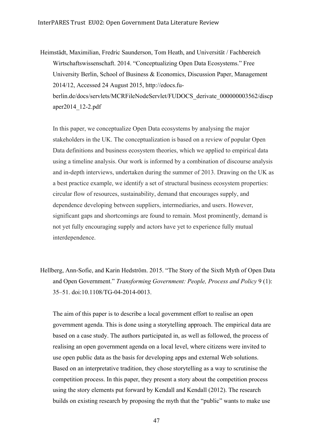Heimstädt, Maximilian, Fredric Saunderson, Tom Heath, and Universität / Fachbereich Wirtschaftswissenschaft. 2014. "Conceptualizing Open Data Ecosystems." Free University Berlin, School of Business & Economics, Discussion Paper, Management 2014/12, Accessed 24 August 2015, http://edocs.fuberlin.de/docs/servlets/MCRFileNodeServlet/FUDOCS\_derivate\_000000003562/discp aper2014\_12-2.pdf

In this paper, we conceptualize Open Data ecosystems by analysing the major stakeholders in the UK. The conceptualization is based on a review of popular Open Data definitions and business ecosystem theories, which we applied to empirical data using a timeline analysis. Our work is informed by a combination of discourse analysis and in-depth interviews, undertaken during the summer of 2013. Drawing on the UK as a best practice example, we identify a set of structural business ecosystem properties: circular flow of resources, sustainability, demand that encourages supply, and dependence developing between suppliers, intermediaries, and users. However, significant gaps and shortcomings are found to remain. Most prominently, demand is not yet fully encouraging supply and actors have yet to experience fully mutual interdependence.

Hellberg, Ann-Sofie, and Karin Hedström. 2015. "The Story of the Sixth Myth of Open Data and Open Government." *Transforming Government: People, Process and Policy* 9 (1): 35–51. doi:10.1108/TG-04-2014-0013.

The aim of this paper is to describe a local government effort to realise an open government agenda. This is done using a storytelling approach. The empirical data are based on a case study. The authors participated in, as well as followed, the process of realising an open government agenda on a local level, where citizens were invited to use open public data as the basis for developing apps and external Web solutions. Based on an interpretative tradition, they chose storytelling as a way to scrutinise the competition process. In this paper, they present a story about the competition process using the story elements put forward by Kendall and Kendall (2012). The research builds on existing research by proposing the myth that the "public" wants to make use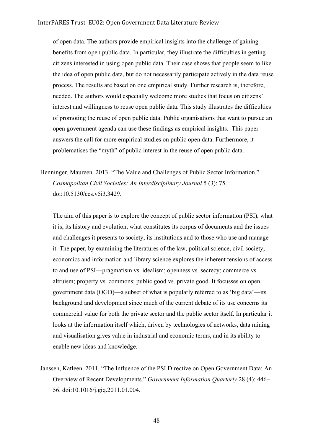of open data. The authors provide empirical insights into the challenge of gaining benefits from open public data. In particular, they illustrate the difficulties in getting citizens interested in using open public data. Their case shows that people seem to like the idea of open public data, but do not necessarily participate actively in the data reuse process. The results are based on one empirical study. Further research is, therefore, needed. The authors would especially welcome more studies that focus on citizens' interest and willingness to reuse open public data. This study illustrates the difficulties of promoting the reuse of open public data. Public organisations that want to pursue an open government agenda can use these findings as empirical insights. This paper answers the call for more empirical studies on public open data. Furthermore, it problematises the "myth" of public interest in the reuse of open public data.

Henninger, Maureen. 2013. "The Value and Challenges of Public Sector Information." *Cosmopolitan Civil Societies: An Interdisciplinary Journal* 5 (3): 75. doi:10.5130/ccs.v5i3.3429.

The aim of this paper is to explore the concept of public sector information (PSI), what it is, its history and evolution, what constitutes its corpus of documents and the issues and challenges it presents to society, its institutions and to those who use and manage it. The paper, by examining the literatures of the law, political science, civil society, economics and information and library science explores the inherent tensions of access to and use of PSI—pragmatism vs. idealism; openness vs. secrecy; commerce vs. altruism; property vs. commons; public good vs. private good. It focusses on open government data (OGD)—a subset of what is popularly referred to as 'big data'—its background and development since much of the current debate of its use concerns its commercial value for both the private sector and the public sector itself. In particular it looks at the information itself which, driven by technologies of networks, data mining and visualisation gives value in industrial and economic terms, and in its ability to enable new ideas and knowledge.

Janssen, Katleen. 2011. "The Influence of the PSI Directive on Open Government Data: An Overview of Recent Developments." *Government Information Quarterly* 28 (4): 446– 56. doi:10.1016/j.giq.2011.01.004.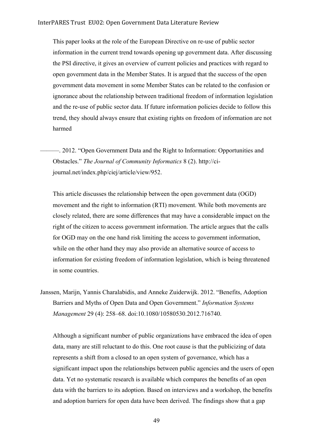## InterPARES Trust EU02: Open Government Data Literature Review

This paper looks at the role of the European Directive on re-use of public sector information in the current trend towards opening up government data. After discussing the PSI directive, it gives an overview of current policies and practices with regard to open government data in the Member States. It is argued that the success of the open government data movement in some Member States can be related to the confusion or ignorance about the relationship between traditional freedom of information legislation and the re-use of public sector data. If future information policies decide to follow this trend, they should always ensure that existing rights on freedom of information are not harmed

———. 2012. "Open Government Data and the Right to Information: Opportunities and Obstacles." *The Journal of Community Informatics* 8 (2). http://cijournal.net/index.php/ciej/article/view/952.

This article discusses the relationship between the open government data (OGD) movement and the right to information (RTI) movement. While both movements are closely related, there are some differences that may have a considerable impact on the right of the citizen to access government information. The article argues that the calls for OGD may on the one hand risk limiting the access to government information, while on the other hand they may also provide an alternative source of access to information for existing freedom of information legislation, which is being threatened in some countries.

Janssen, Marijn, Yannis Charalabidis, and Anneke Zuiderwijk. 2012. "Benefits, Adoption Barriers and Myths of Open Data and Open Government." *Information Systems Management* 29 (4): 258–68. doi:10.1080/10580530.2012.716740.

Although a significant number of public organizations have embraced the idea of open data, many are still reluctant to do this. One root cause is that the publicizing of data represents a shift from a closed to an open system of governance, which has a significant impact upon the relationships between public agencies and the users of open data. Yet no systematic research is available which compares the benefits of an open data with the barriers to its adoption. Based on interviews and a workshop, the benefits and adoption barriers for open data have been derived. The findings show that a gap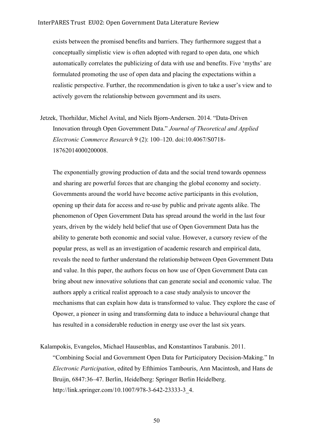exists between the promised benefits and barriers. They furthermore suggest that a conceptually simplistic view is often adopted with regard to open data, one which automatically correlates the publicizing of data with use and benefits. Five 'myths' are formulated promoting the use of open data and placing the expectations within a realistic perspective. Further, the recommendation is given to take a user's view and to actively govern the relationship between government and its users.

Jetzek, Thorhildur, Michel Avital, and Niels Bjorn-Andersen. 2014. "Data-Driven Innovation through Open Government Data." *Journal of Theoretical and Applied Electronic Commerce Research* 9 (2): 100–120. doi:10.4067/S0718- 18762014000200008.

The exponentially growing production of data and the social trend towards openness and sharing are powerful forces that are changing the global economy and society. Governments around the world have become active participants in this evolution, opening up their data for access and re-use by public and private agents alike. The phenomenon of Open Government Data has spread around the world in the last four years, driven by the widely held belief that use of Open Government Data has the ability to generate both economic and social value. However, a cursory review of the popular press, as well as an investigation of academic research and empirical data, reveals the need to further understand the relationship between Open Government Data and value. In this paper, the authors focus on how use of Open Government Data can bring about new innovative solutions that can generate social and economic value. The authors apply a critical realist approach to a case study analysis to uncover the mechanisms that can explain how data is transformed to value. They explore the case of Opower, a pioneer in using and transforming data to induce a behavioural change that has resulted in a considerable reduction in energy use over the last six years.

Kalampokis, Evangelos, Michael Hausenblas, and Konstantinos Tarabanis. 2011.

"Combining Social and Government Open Data for Participatory Decision-Making." In *Electronic Participation*, edited by Efthimios Tambouris, Ann Macintosh, and Hans de Bruijn, 6847:36–47. Berlin, Heidelberg: Springer Berlin Heidelberg. http://link.springer.com/10.1007/978-3-642-23333-3\_4.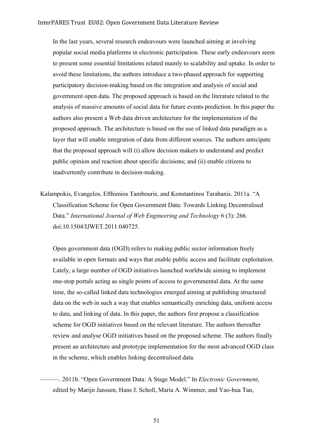In the last years, several research endeavours were launched aiming at involving popular social media platforms in electronic participation. These early endeavours seem to present some essential limitations related mainly to scalability and uptake. In order to avoid these limitations, the authors introduce a two-phased approach for supporting participatory decision-making based on the integration and analysis of social and government open data. The proposed approach is based on the literature related to the analysis of massive amounts of social data for future events prediction. In this paper the authors also present a Web data driven architecture for the implementation of the proposed approach. The architecture is based on the use of linked data paradigm as a layer that will enable integration of data from different sources. The authors anticipate that the proposed approach will (i) allow decision makers to understand and predict public opinion and reaction about specific decisions; and (ii) enable citizens to inadvertently contribute in decision-making.

Kalampokis, Evangelos, Efthimios Tambouris, and Konstantinos Tarabanis. 2011a. "A Classification Scheme for Open Government Data: Towards Linking Decentralised Data." *International Journal of Web Engineering and Technology* 6 (3): 266. doi:10.1504/IJWET.2011.040725.

Open government data (OGD) refers to making public sector information freely available in open formats and ways that enable public access and facilitate exploitation. Lately, a large number of OGD initiatives launched worldwide aiming to implement one-stop portals acting as single points of access to governmental data. At the same time, the so-called linked data technologies emerged aiming at publishing structured data on the web in such a way that enables semantically enriching data, uniform access to data, and linking of data. In this paper, the authors first propose a classification scheme for OGD initiatives based on the relevant literature. The authors thereafter review and analyse OGD initiatives based on the proposed scheme. The authors finally present an architecture and prototype implementation for the most advanced OGD class in the scheme, which enables linking decentralised data.

———. 2011b. "Open Government Data: A Stage Model." In *Electronic Government*, edited by Marijn Janssen, Hans J. Scholl, Maria A. Wimmer, and Yao-hua Tan,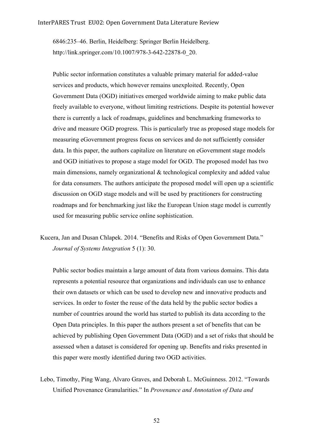6846:235–46. Berlin, Heidelberg: Springer Berlin Heidelberg. http://link.springer.com/10.1007/978-3-642-22878-0\_20.

Public sector information constitutes a valuable primary material for added-value services and products, which however remains unexploited. Recently, Open Government Data (OGD) initiatives emerged worldwide aiming to make public data freely available to everyone, without limiting restrictions. Despite its potential however there is currently a lack of roadmaps, guidelines and benchmarking frameworks to drive and measure OGD progress. This is particularly true as proposed stage models for measuring eGovernment progress focus on services and do not sufficiently consider data. In this paper, the authors capitalize on literature on eGovernment stage models and OGD initiatives to propose a stage model for OGD. The proposed model has two main dimensions, namely organizational & technological complexity and added value for data consumers. The authors anticipate the proposed model will open up a scientific discussion on OGD stage models and will be used by practitioners for constructing roadmaps and for benchmarking just like the European Union stage model is currently used for measuring public service online sophistication.

Kucera, Jan and Dusan Chlapek. 2014. "Benefits and Risks of Open Government Data." *Journal of Systems Integration* 5 (1): 30.

Public sector bodies maintain a large amount of data from various domains. This data represents a potential resource that organizations and individuals can use to enhance their own datasets or which can be used to develop new and innovative products and services. In order to foster the reuse of the data held by the public sector bodies a number of countries around the world has started to publish its data according to the Open Data principles. In this paper the authors present a set of benefits that can be achieved by publishing Open Government Data (OGD) and a set of risks that should be assessed when a dataset is considered for opening up. Benefits and risks presented in this paper were mostly identified during two OGD activities.

Lebo, Timothy, Ping Wang, Alvaro Graves, and Deborah L. McGuinness. 2012. "Towards Unified Provenance Granularities." In *Provenance and Annotation of Data and*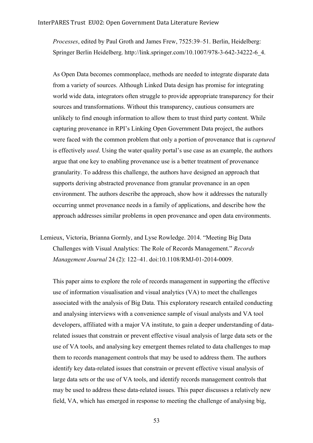*Processes*, edited by Paul Groth and James Frew, 7525:39–51. Berlin, Heidelberg: Springer Berlin Heidelberg. http://link.springer.com/10.1007/978-3-642-34222-6\_4.

As Open Data becomes commonplace, methods are needed to integrate disparate data from a variety of sources. Although Linked Data design has promise for integrating world wide data, integrators often struggle to provide appropriate transparency for their sources and transformations. Without this transparency, cautious consumers are unlikely to find enough information to allow them to trust third party content. While capturing provenance in RPI's Linking Open Government Data project, the authors were faced with the common problem that only a portion of provenance that is *captured*  is effectively *used*. Using the water quality portal's use case as an example, the authors argue that one key to enabling provenance use is a better treatment of provenance granularity. To address this challenge, the authors have designed an approach that supports deriving abstracted provenance from granular provenance in an open environment. The authors describe the approach, show how it addresses the naturally occurring unmet provenance needs in a family of applications, and describe how the approach addresses similar problems in open provenance and open data environments.

Lemieux, Victoria, Brianna Gormly, and Lyse Rowledge. 2014. "Meeting Big Data Challenges with Visual Analytics: The Role of Records Management." *Records Management Journal* 24 (2): 122–41. doi:10.1108/RMJ-01-2014-0009.

This paper aims to explore the role of records management in supporting the effective use of information visualisation and visual analytics (VA) to meet the challenges associated with the analysis of Big Data. This exploratory research entailed conducting and analysing interviews with a convenience sample of visual analysts and VA tool developers, affiliated with a major VA institute, to gain a deeper understanding of datarelated issues that constrain or prevent effective visual analysis of large data sets or the use of VA tools, and analysing key emergent themes related to data challenges to map them to records management controls that may be used to address them. The authors identify key data-related issues that constrain or prevent effective visual analysis of large data sets or the use of VA tools, and identify records management controls that may be used to address these data-related issues. This paper discusses a relatively new field, VA, which has emerged in response to meeting the challenge of analysing big,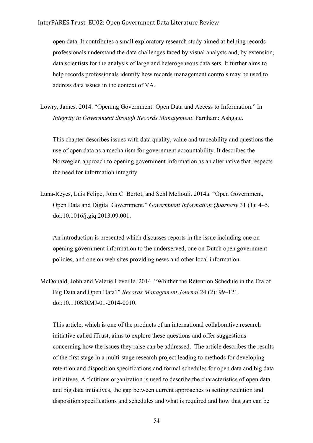open data. It contributes a small exploratory research study aimed at helping records professionals understand the data challenges faced by visual analysts and, by extension, data scientists for the analysis of large and heterogeneous data sets. It further aims to help records professionals identify how records management controls may be used to address data issues in the context of VA.

Lowry, James. 2014. "Opening Government: Open Data and Access to Information." In *Integrity in Government through Records Management*. Farnham: Ashgate.

This chapter describes issues with data quality, value and traceability and questions the use of open data as a mechanism for government accountability. It describes the Norwegian approach to opening government information as an alternative that respects the need for information integrity.

Luna-Reyes, Luis Felipe, John C. Bertot, and Sehl Mellouli. 2014a. "Open Government, Open Data and Digital Government." *Government Information Quarterly* 31 (1): 4–5. doi:10.1016/j.giq.2013.09.001.

An introduction is presented which discusses reports in the issue including one on opening government information to the underserved, one on Dutch open government policies, and one on web sites providing news and other local information.

McDonald, John and Valerie Léveillé. 2014. "Whither the Retention Schedule in the Era of Big Data and Open Data?" *Records Management Journal* 24 (2): 99–121. doi:10.1108/RMJ-01-2014-0010.

This article, which is one of the products of an international collaborative research initiative called iTrust, aims to explore these questions and offer suggestions concerning how the issues they raise can be addressed. The article describes the results of the first stage in a multi-stage research project leading to methods for developing retention and disposition specifications and formal schedules for open data and big data initiatives. A fictitious organization is used to describe the characteristics of open data and big data initiatives, the gap between current approaches to setting retention and disposition specifications and schedules and what is required and how that gap can be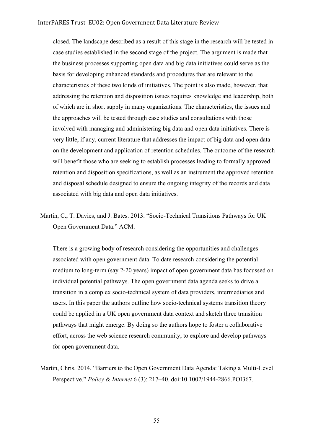closed. The landscape described as a result of this stage in the research will be tested in case studies established in the second stage of the project. The argument is made that the business processes supporting open data and big data initiatives could serve as the basis for developing enhanced standards and procedures that are relevant to the characteristics of these two kinds of initiatives. The point is also made, however, that addressing the retention and disposition issues requires knowledge and leadership, both of which are in short supply in many organizations. The characteristics, the issues and the approaches will be tested through case studies and consultations with those involved with managing and administering big data and open data initiatives. There is very little, if any, current literature that addresses the impact of big data and open data on the development and application of retention schedules. The outcome of the research will benefit those who are seeking to establish processes leading to formally approved retention and disposition specifications, as well as an instrument the approved retention and disposal schedule designed to ensure the ongoing integrity of the records and data associated with big data and open data initiatives.

Martin, C., T. Davies, and J. Bates. 2013. "Socio-Technical Transitions Pathways for UK Open Government Data." ACM.

There is a growing body of research considering the opportunities and challenges associated with open government data. To date research considering the potential medium to long-term (say 2-20 years) impact of open government data has focussed on individual potential pathways. The open government data agenda seeks to drive a transition in a complex socio-technical system of data providers, intermediaries and users. In this paper the authors outline how socio-technical systems transition theory could be applied in a UK open government data context and sketch three transition pathways that might emerge. By doing so the authors hope to foster a collaborative effort, across the web science research community, to explore and develop pathways for open government data.

Martin, Chris. 2014. "Barriers to the Open Government Data Agenda: Taking a Multi‐Level Perspective." *Policy & Internet* 6 (3): 217–40. doi:10.1002/1944-2866.POI367.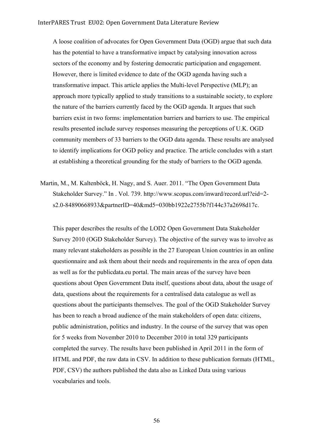A loose coalition of advocates for Open Government Data (OGD) argue that such data has the potential to have a transformative impact by catalysing innovation across sectors of the economy and by fostering democratic participation and engagement. However, there is limited evidence to date of the OGD agenda having such a transformative impact. This article applies the Multi-level Perspective (MLP); an approach more typically applied to study transitions to a sustainable society, to explore the nature of the barriers currently faced by the OGD agenda. It argues that such barriers exist in two forms: implementation barriers and barriers to use. The empirical results presented include survey responses measuring the perceptions of U.K. OGD community members of 33 barriers to the OGD data agenda. These results are analysed to identify implications for OGD policy and practice. The article concludes with a start at establishing a theoretical grounding for the study of barriers to the OGD agenda.

Martin, M., M. Kaltenböck, H. Nagy, and S. Auer. 2011. "The Open Government Data Stakeholder Survey." In . Vol. 739. http://www.scopus.com/inward/record.url?eid=2 s2.0-84890668933&partnerID=40&md5=030bb1922e2755b7f144c37a2698d17c.

This paper describes the results of the LOD2 Open Government Data Stakeholder Survey 2010 (OGD Stakeholder Survey). The objective of the survey was to involve as many relevant stakeholders as possible in the 27 European Union countries in an online questionnaire and ask them about their needs and requirements in the area of open data as well as for the publicdata.eu portal. The main areas of the survey have been questions about Open Government Data itself, questions about data, about the usage of data, questions about the requirements for a centralised data catalogue as well as questions about the participants themselves. The goal of the OGD Stakeholder Survey has been to reach a broad audience of the main stakeholders of open data: citizens, public administration, politics and industry. In the course of the survey that was open for 5 weeks from November 2010 to December 2010 in total 329 participants completed the survey. The results have been published in April 2011 in the form of HTML and PDF, the raw data in CSV. In addition to these publication formats (HTML, PDF, CSV) the authors published the data also as Linked Data using various vocabularies and tools.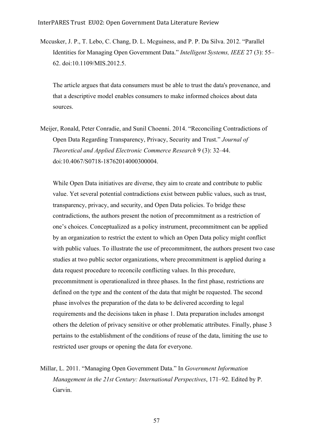Mccusker, J. P., T. Lebo, C. Chang, D. L. Mcguiness, and P. P. Da Silva. 2012. "Parallel Identities for Managing Open Government Data." *Intelligent Systems, IEEE* 27 (3): 55– 62. doi:10.1109/MIS.2012.5.

The article argues that data consumers must be able to trust the data's provenance, and that a descriptive model enables consumers to make informed choices about data sources.

Meijer, Ronald, Peter Conradie, and Sunil Choenni. 2014. "Reconciling Contradictions of Open Data Regarding Transparency, Privacy, Security and Trust." *Journal of Theoretical and Applied Electronic Commerce Research* 9 (3): 32–44. doi:10.4067/S0718-18762014000300004.

While Open Data initiatives are diverse, they aim to create and contribute to public value. Yet several potential contradictions exist between public values, such as trust, transparency, privacy, and security, and Open Data policies. To bridge these contradictions, the authors present the notion of precommitment as a restriction of one's choices. Conceptualized as a policy instrument, precommitment can be applied by an organization to restrict the extent to which an Open Data policy might conflict with public values. To illustrate the use of precommitment, the authors present two case studies at two public sector organizations, where precommitment is applied during a data request procedure to reconcile conflicting values. In this procedure, precommitment is operationalized in three phases. In the first phase, restrictions are defined on the type and the content of the data that might be requested. The second phase involves the preparation of the data to be delivered according to legal requirements and the decisions taken in phase 1. Data preparation includes amongst others the deletion of privacy sensitive or other problematic attributes. Finally, phase 3 pertains to the establishment of the conditions of reuse of the data, limiting the use to restricted user groups or opening the data for everyone.

Millar, L. 2011. "Managing Open Government Data." In *Government Information Management in the 21st Century: International Perspectives*, 171–92. Edited by P. Garvin.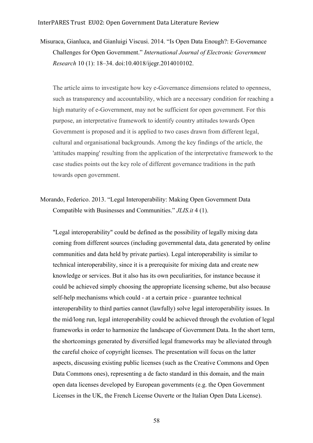Misuraca, Gianluca, and Gianluigi Viscusi. 2014. "Is Open Data Enough?: E-Governance Challenges for Open Government." *International Journal of Electronic Government Research* 10 (1): 18–34. doi:10.4018/ijegr.2014010102.

The article aims to investigate how key e-Governance dimensions related to openness, such as transparency and accountability, which are a necessary condition for reaching a high maturity of e-Government, may not be sufficient for open government. For this purpose, an interpretative framework to identify country attitudes towards Open Government is proposed and it is applied to two cases drawn from different legal, cultural and organisational backgrounds. Among the key findings of the article, the 'attitudes mapping' resulting from the application of the interpretative framework to the case studies points out the key role of different governance traditions in the path towards open government.

Morando, Federico. 2013. "Legal Interoperability: Making Open Government Data Compatible with Businesses and Communities." *JLIS.it* 4 (1).

"Legal interoperability" could be defined as the possibility of legally mixing data coming from different sources (including governmental data, data generated by online communities and data held by private parties). Legal interoperability is similar to technical interoperability, since it is a prerequisite for mixing data and create new knowledge or services. But it also has its own peculiarities, for instance because it could be achieved simply choosing the appropriate licensing scheme, but also because self-help mechanisms which could - at a certain price - guarantee technical interoperability to third parties cannot (lawfully) solve legal interoperability issues. In the mid/long run, legal interoperability could be achieved through the evolution of legal frameworks in order to harmonize the landscape of Government Data. In the short term, the shortcomings generated by diversified legal frameworks may be alleviated through the careful choice of copyright licenses. The presentation will focus on the latter aspects, discussing existing public licenses (such as the Creative Commons and Open Data Commons ones), representing a de facto standard in this domain, and the main open data licenses developed by European governments (e.g. the Open Government Licenses in the UK, the French License Ouverte or the Italian Open Data License).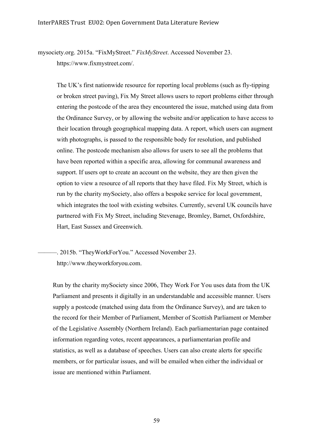mysociety.org. 2015a. "FixMyStreet." *FixMyStreet*. Accessed November 23. https://www.fixmystreet.com/.

The UK's first nationwide resource for reporting local problems (such as fly-tipping or broken street paving), Fix My Street allows users to report problems either through entering the postcode of the area they encountered the issue, matched using data from the Ordinance Survey, or by allowing the website and/or application to have access to their location through geographical mapping data. A report, which users can augment with photographs, is passed to the responsible body for resolution, and published online. The postcode mechanism also allows for users to see all the problems that have been reported within a specific area, allowing for communal awareness and support. If users opt to create an account on the website, they are then given the option to view a resource of all reports that they have filed. Fix My Street, which is run by the charity mySociety, also offers a bespoke service for local government, which integrates the tool with existing websites. Currently, several UK councils have partnered with Fix My Street, including Stevenage, Bromley, Barnet, Oxfordshire, Hart, East Sussex and Greenwich.

———. 2015b. "TheyWorkForYou." Accessed November 23. http://www.theyworkforyou.com.

Run by the charity mySociety since 2006, They Work For You uses data from the UK Parliament and presents it digitally in an understandable and accessible manner. Users supply a postcode (matched using data from the Ordinance Survey), and are taken to the record for their Member of Parliament, Member of Scottish Parliament or Member of the Legislative Assembly (Northern Ireland). Each parliamentarian page contained information regarding votes, recent appearances, a parliamentarian profile and statistics, as well as a database of speeches. Users can also create alerts for specific members, or for particular issues, and will be emailed when either the individual or issue are mentioned within Parliament.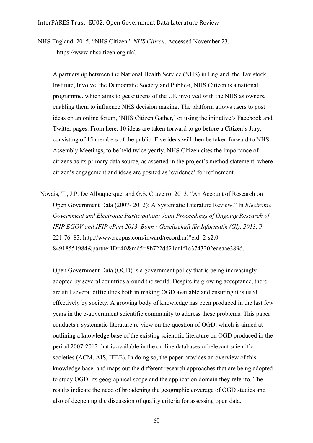NHS England. 2015. "NHS Citizen." *NHS Citizen*. Accessed November 23. https://www.nhscitizen.org.uk/.

A partnership between the National Health Service (NHS) in England, the Tavistock Institute, Involve, the Democratic Society and Public-i, NHS Citizen is a national programme, which aims to get citizens of the UK involved with the NHS as owners, enabling them to influence NHS decision making. The platform allows users to post ideas on an online forum, 'NHS Citizen Gather,' or using the initiative's Facebook and Twitter pages. From here, 10 ideas are taken forward to go before a Citizen's Jury, consisting of 15 members of the public. Five ideas will then be taken forward to NHS Assembly Meetings, to be held twice yearly. NHS Citizen cites the importance of citizens as its primary data source, as asserted in the project's method statement, where citizen's engagement and ideas are posited as 'evidence' for refinement.

Novais, T., J.P. De Albuquerque, and G.S. Craveiro. 2013. "An Account of Research on Open Government Data (2007- 2012): A Systematic Literature Review." In *Electronic Government and Electronic Participation: Joint Proceedings of Ongoing Research of IFIP EGOV and IFIP ePart 2013, Bonn : Gesellschaft für Informatik (GI), 2013*, P-221:76–83. http://www.scopus.com/inward/record.url?eid=2-s2.0- 84918551984&partnerID=40&md5=8b722dd21af1f1c3743202eaeaae389d.

Open Government Data (OGD) is a government policy that is being increasingly adopted by several countries around the world. Despite its growing acceptance, there are still several difficulties both in making OGD available and ensuring it is used effectively by society. A growing body of knowledge has been produced in the last few years in the e-government scientific community to address these problems. This paper conducts a systematic literature re-view on the question of OGD, which is aimed at outlining a knowledge base of the existing scientific literature on OGD produced in the period 2007-2012 that is available in the on-line databases of relevant scientific societies (ACM, AIS, IEEE). In doing so, the paper provides an overview of this knowledge base, and maps out the different research approaches that are being adopted to study OGD, its geographical scope and the application domain they refer to. The results indicate the need of broadening the geographic coverage of OGD studies and also of deepening the discussion of quality criteria for assessing open data.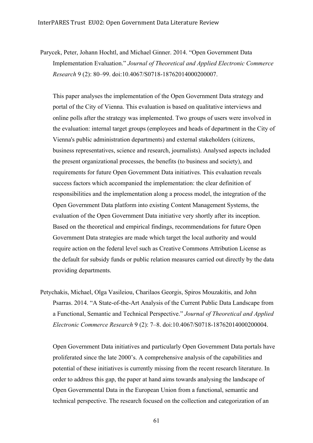Parycek, Peter, Johann Hochtl, and Michael Ginner. 2014. "Open Government Data Implementation Evaluation." *Journal of Theoretical and Applied Electronic Commerce Research* 9 (2): 80–99. doi:10.4067/S0718-18762014000200007.

This paper analyses the implementation of the Open Government Data strategy and portal of the City of Vienna. This evaluation is based on qualitative interviews and online polls after the strategy was implemented. Two groups of users were involved in the evaluation: internal target groups (employees and heads of department in the City of Vienna's public administration departments) and external stakeholders (citizens, business representatives, science and research, journalists). Analysed aspects included the present organizational processes, the benefits (to business and society), and requirements for future Open Government Data initiatives. This evaluation reveals success factors which accompanied the implementation: the clear definition of responsibilities and the implementation along a process model, the integration of the Open Government Data platform into existing Content Management Systems, the evaluation of the Open Government Data initiative very shortly after its inception. Based on the theoretical and empirical findings, recommendations for future Open Government Data strategies are made which target the local authority and would require action on the federal level such as Creative Commons Attribution License as the default for subsidy funds or public relation measures carried out directly by the data providing departments.

Petychakis, Michael, Olga Vasileiou, Charilaos Georgis, Spiros Mouzakitis, and John Psarras. 2014. "A State-of-the-Art Analysis of the Current Public Data Landscape from a Functional, Semantic and Technical Perspective." *Journal of Theoretical and Applied Electronic Commerce Research* 9 (2): 7–8. doi:10.4067/S0718-18762014000200004.

Open Government Data initiatives and particularly Open Government Data portals have proliferated since the late 2000's. A comprehensive analysis of the capabilities and potential of these initiatives is currently missing from the recent research literature. In order to address this gap, the paper at hand aims towards analysing the landscape of Open Governmental Data in the European Union from a functional, semantic and technical perspective. The research focused on the collection and categorization of an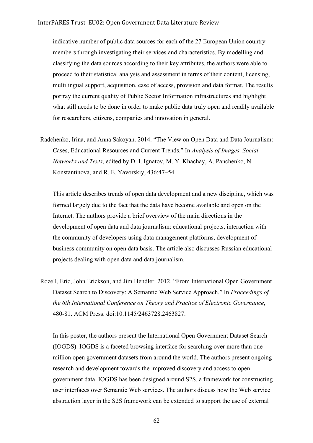## InterPARES Trust EU02: Open Government Data Literature Review

indicative number of public data sources for each of the 27 European Union countrymembers through investigating their services and characteristics. By modelling and classifying the data sources according to their key attributes, the authors were able to proceed to their statistical analysis and assessment in terms of their content, licensing, multilingual support, acquisition, ease of access, provision and data format. The results portray the current quality of Public Sector Information infrastructures and highlight what still needs to be done in order to make public data truly open and readily available for researchers, citizens, companies and innovation in general.

Radchenko, Irina, and Anna Sakoyan. 2014. "The View on Open Data and Data Journalism: Cases, Educational Resources and Current Trends." In *Analysis of Images, Social Networks and Texts*, edited by D. I. Ignatov, M. Y. Khachay, A. Panchenko, N. Konstantinova, and R. E. Yavorskiy, 436:47–54.

This article describes trends of open data development and a new discipline, which was formed largely due to the fact that the data have become available and open on the Internet. The authors provide a brief overview of the main directions in the development of open data and data journalism: educational projects, interaction with the community of developers using data management platforms, development of business community on open data basis. The article also discusses Russian educational projects dealing with open data and data journalism.

Rozell, Eric, John Erickson, and Jim Hendler. 2012. "From International Open Government Dataset Search to Discovery: A Semantic Web Service Approach." In *Proceedings of the 6th International Conference on Theory and Practice of Electronic Governance*, 480-81. ACM Press. doi:10.1145/2463728.2463827.

In this poster, the authors present the International Open Government Dataset Search (IOGDS). IOGDS is a faceted browsing interface for searching over more than one million open government datasets from around the world. The authors present ongoing research and development towards the improved discovery and access to open government data. IOGDS has been designed around S2S, a framework for constructing user interfaces over Semantic Web services. The authors discuss how the Web service abstraction layer in the S2S framework can be extended to support the use of external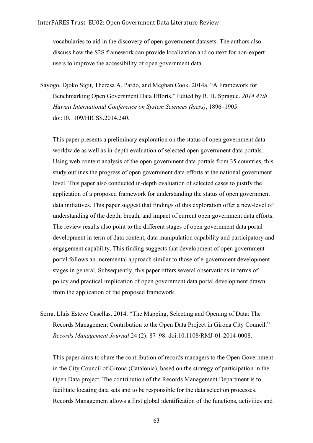vocabularies to aid in the discovery of open government datasets. The authors also discuss how the S2S framework can provide localization and context for non-expert users to improve the accessibility of open government data.

Sayogo, Djoko Sigit, Theresa A. Pardo, and Meghan Cook. 2014a. "A Framework for Benchmarking Open Government Data Efforts." Edited by R. H. Sprague. *2014 47th Hawaii International Conference on System Sciences (hicss)*, 1896–1905. doi:10.1109/HICSS.2014.240.

This paper presents a preliminary exploration on the status of open government data worldwide as well as in-depth evaluation of selected open government data portals. Using web content analysis of the open government data portals from 35 countries, this study outlines the progress of open government data efforts at the national government level. This paper also conducted in-depth evaluation of selected cases to justify the application of a proposed framework for understanding the status of open government data initiatives. This paper suggest that findings of this exploration offer a new-level of understanding of the depth, breath, and impact of current open government data efforts. The review results also point to the different stages of open government data portal development in term of data content, data manipulation capability and participatory and engagement capability. This finding suggests that development of open government portal follows an incremental approach similar to those of e-government development stages in general. Subsequently, this paper offers several observations in terms of policy and practical implication of open government data portal development drawn from the application of the proposed framework.

Serra, Lluís Esteve Casellas. 2014. "The Mapping, Selecting and Opening of Data: The Records Management Contribution to the Open Data Project in Girona City Council." *Records Management Journal* 24 (2): 87–98. doi:10.1108/RMJ-01-2014-0008.

This paper aims to share the contribution of records managers to the Open Government in the City Council of Girona (Catalonia), based on the strategy of participation in the Open Data project. The contribution of the Records Management Department is to facilitate locating data sets and to be responsible for the data selection processes. Records Management allows a first global identification of the functions, activities and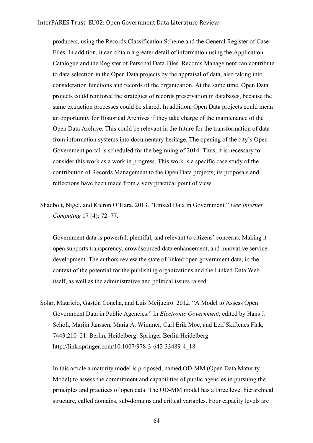producers, using the Records Classification Scheme and the General Register of Case Files. In addition, it can obtain a greater detail of information using the Application Catalogue and the Register of Personal Data Files. Records Management can contribute to data selection in the Open Data projects by the appraisal of data, also taking into consideration functions and records of the organization. At the same time, Open Data projects could reinforce the strategies of records preservation in databases, because the same extraction processes could be shared. In addition, Open Data projects could mean an opportunity for Historical Archives if they take charge of the maintenance of the Open Data Archive. This could be relevant in the future for the transformation of data from information systems into documentary heritage. The opening of the city's Open Government portal is scheduled for the beginning of 2014. Thus, it is necessary to consider this work as a work in progress. This work is a specific case study of the contribution of Records Management to the Open Data projects; its proposals and reflections have been made from a very practical point of view.

Shadbolt, Nigel, and Kieron O'Hara. 2013. "Linked Data in Government." *Ieee Internet Computing* 17 (4): 72–77.

Government data is powerful, plentiful, and relevant to citizens' concerns. Making it open supports transparency, crowdsourced data enhancement, and innovative service development. The authors review the state of linked open government data, in the context of the potential for the publishing organizations and the Linked Data Web itself, as well as the administrative and political issues raised.

Solar, Mauricio, Gastón Concha, and Luis Meijueiro. 2012. "A Model to Assess Open Government Data in Public Agencies." In *Electronic Government*, edited by Hans J. Scholl, Marijn Janssen, Maria A. Wimmer, Carl Erik Moe, and Leif Skiftenes Flak, 7443:210–21. Berlin, Heidelberg: Springer Berlin Heidelberg. http://link.springer.com/10.1007/978-3-642-33489-4\_18.

In this article a maturity model is proposed, named OD-MM (Open Data Maturity Model) to assess the commitment and capabilities of public agencies in pursuing the principles and practices of open data. The OD-MM model has a three level hierarchical structure, called domains, sub-domains and critical variables. Four capacity levels are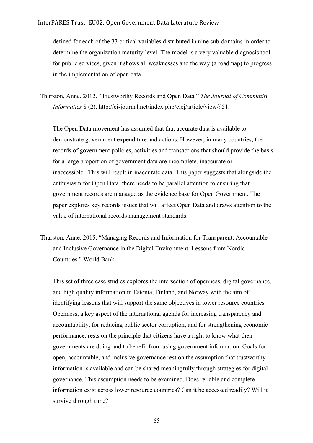defined for each of the 33 critical variables distributed in nine sub-domains in order to determine the organization maturity level. The model is a very valuable diagnosis tool for public services, given it shows all weaknesses and the way (a roadmap) to progress in the implementation of open data.

Thurston, Anne. 2012. "Trustworthy Records and Open Data." *The Journal of Community Informatics* 8 (2). http://ci-journal.net/index.php/ciej/article/view/951.

The Open Data movement has assumed that that accurate data is available to demonstrate government expenditure and actions. However, in many countries, the records of government policies, activities and transactions that should provide the basis for a large proportion of government data are incomplete, inaccurate or inaccessible. This will result in inaccurate data. This paper suggests that alongside the enthusiasm for Open Data, there needs to be parallel attention to ensuring that government records are managed as the evidence base for Open Government. The paper explores key records issues that will affect Open Data and draws attention to the value of international records management standards.

Thurston, Anne. 2015. "Managing Records and Information for Transparent, Accountable and Inclusive Governance in the Digital Environment: Lessons from Nordic Countries." World Bank.

This set of three case studies explores the intersection of openness, digital governance, and high quality information in Estonia, Finland, and Norway with the aim of identifying lessons that will support the same objectives in lower resource countries. Openness, a key aspect of the international agenda for increasing transparency and accountability, for reducing public sector corruption, and for strengthening economic performance, rests on the principle that citizens have a right to know what their governments are doing and to benefit from using government information. Goals for open, accountable, and inclusive governance rest on the assumption that trustworthy information is available and can be shared meaningfully through strategies for digital governance. This assumption needs to be examined. Does reliable and complete information exist across lower resource countries? Can it be accessed readily? Will it survive through time?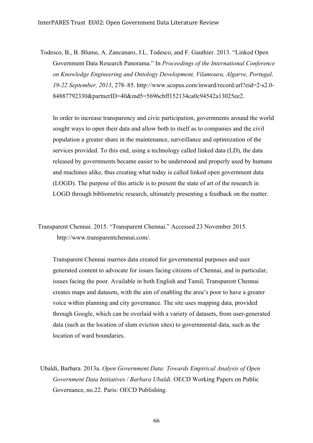Todesco, B., B. Blume, A. Zancanaro, J.L. Todesco, and F. Gauthier. 2013. "Linked Open Government Data Research Panorama." In *Proceedings of the International Conference on Knowledge Engineering and Ontology Development, Vilamoura, Algarve, Portugal, 19-22 September, 2013*, 278–85. http://www.scopus.com/inward/record.url?eid=2-s2.0- 84887792330&partnerID=40&md5=5696cbff152134ca0c94542a13025ee2.

In order to increase transparency and civic participation, governments around the world sought ways to open their data and allow both to itself as to companies and the civil population a greater share in the maintenance, surveillance and optimization of the services provided. To this end, using a technology called linked data (LD), the data released by governments became easier to be understood and properly used by humans and machines alike, thus creating what today is called linked open government data (LOGD). The purpose of this article is to present the state of art of the research in LOGD through bibliometric research, ultimately presenting a feedback on the matter.

Transparent Chennai. 2015. "Transparent Chennai." Accessed 23 November 2015. http://www.transparentchennai.com/.

Transparent Chennai marries data created for governmental purposes and user generated content to advocate for issues facing citizens of Chennai, and in particular, issues facing the poor. Available in both English and Tamil, Transparent Chennai creates maps and datasets, with the aim of enabling the area's poor to have a greater voice within planning and city governance. The site uses mapping data, provided through Google, which can be overlaid with a variety of datasets, from user-generated data (such as the location of slum eviction sites) to governmental data, such as the location of ward boundaries.

Ubaldi, Barbara. 2013a. *Open Government Data: Towards Empirical Analysis of Open Government Data Initiatives / Barbara Ubaldi*. OECD Working Papers on Public Governance, no.22. Paris: OECD Publishing.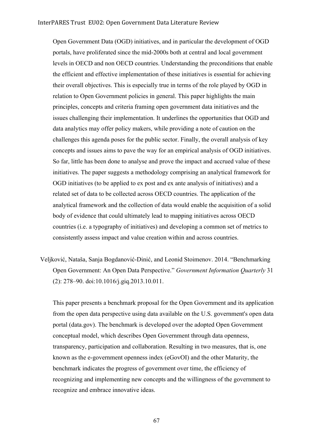Open Government Data (OGD) initiatives, and in particular the development of OGD portals, have proliferated since the mid-2000s both at central and local government levels in OECD and non OECD countries. Understanding the preconditions that enable the efficient and effective implementation of these initiatives is essential for achieving their overall objectives. This is especially true in terms of the role played by OGD in relation to Open Government policies in general. This paper highlights the main principles, concepts and criteria framing open government data initiatives and the issues challenging their implementation. It underlines the opportunities that OGD and data analytics may offer policy makers, while providing a note of caution on the challenges this agenda poses for the public sector. Finally, the overall analysis of key concepts and issues aims to pave the way for an empirical analysis of OGD initiatives. So far, little has been done to analyse and prove the impact and accrued value of these initiatives. The paper suggests a methodology comprising an analytical framework for OGD initiatives (to be applied to ex post and ex ante analysis of initiatives) and a related set of data to be collected across OECD countries. The application of the analytical framework and the collection of data would enable the acquisition of a solid body of evidence that could ultimately lead to mapping initiatives across OECD countries (i.e. a typography of initiatives) and developing a common set of metrics to consistently assess impact and value creation within and across countries.

Veljković, Nataša, Sanja Bogdanović-Dinić, and Leonid Stoimenov. 2014. "Benchmarking Open Government: An Open Data Perspective." *Government Information Quarterly* 31 (2): 278–90. doi:10.1016/j.giq.2013.10.011.

This paper presents a benchmark proposal for the Open Government and its application from the open data perspective using data available on the U.S. government's open data portal (data.gov). The benchmark is developed over the adopted Open Government conceptual model, which describes Open Government through data openness, transparency, participation and collaboration. Resulting in two measures, that is, one known as the e-government openness index (eGovOI) and the other Maturity, the benchmark indicates the progress of government over time, the efficiency of recognizing and implementing new concepts and the willingness of the government to recognize and embrace innovative ideas.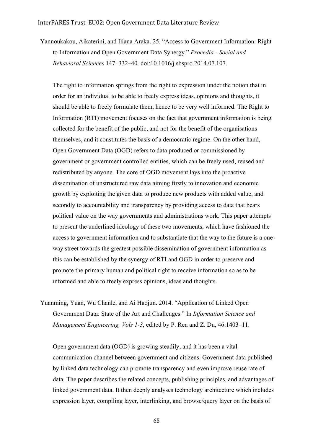Yannoukakou, Aikaterini, and Iliana Araka. 25. "Access to Government Information: Right to Information and Open Government Data Synergy." *Procedia - Social and Behavioral Sciences* 147: 332–40. doi:10.1016/j.sbspro.2014.07.107.

The right to information springs from the right to expression under the notion that in order for an individual to be able to freely express ideas, opinions and thoughts, it should be able to freely formulate them, hence to be very well informed. The Right to Information (RTI) movement focuses on the fact that government information is being collected for the benefit of the public, and not for the benefit of the organisations themselves, and it constitutes the basis of a democratic regime. On the other hand, Open Government Data (OGD) refers to data produced or commissioned by government or government controlled entities, which can be freely used, reused and redistributed by anyone. The core of OGD movement lays into the proactive dissemination of unstructured raw data aiming firstly to innovation and economic growth by exploiting the given data to produce new products with added value, and secondly to accountability and transparency by providing access to data that bears political value on the way governments and administrations work. This paper attempts to present the underlined ideology of these two movements, which have fashioned the access to government information and to substantiate that the way to the future is a oneway street towards the greatest possible dissemination of government information as this can be established by the synergy of RTI and OGD in order to preserve and promote the primary human and political right to receive information so as to be informed and able to freely express opinions, ideas and thoughts.

Yuanming, Yuan, Wu Chanle, and Ai Haojun. 2014. "Application of Linked Open Government Data: State of the Art and Challenges." In *Information Science and Management Engineering, Vols 1-3*, edited by P. Ren and Z. Du, 46:1403–11.

Open government data (OGD) is growing steadily, and it has been a vital communication channel between government and citizens. Government data published by linked data technology can promote transparency and even improve reuse rate of data. The paper describes the related concepts, publishing principles, and advantages of linked government data. It then deeply analyses technology architecture which includes expression layer, compiling layer, interlinking, and browse/query layer on the basis of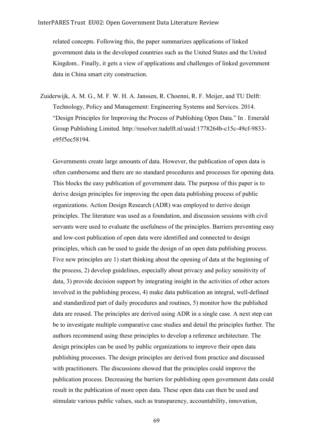related concepts. Following this, the paper summarizes applications of linked government data in the developed countries such as the United States and the United Kingdom.. Finally, it gets a view of applications and challenges of linked government data in China smart city construction.

Zuiderwijk, A. M. G., M. F. W. H. A. Janssen, R. Choenni, R. F. Meijer, and TU Delft: Technology, Policy and Management: Engineering Systems and Services. 2014. "Design Principles for Improving the Process of Publishing Open Data." In . Emerald Group Publishing Limited. http://resolver.tudelft.nl/uuid:1778264b-c15c-49cf-9833 e95f5ec58194.

Governments create large amounts of data. However, the publication of open data is often cumbersome and there are no standard procedures and processes for opening data. This blocks the easy publication of government data. The purpose of this paper is to derive design principles for improving the open data publishing process of public organizations. Action Design Research (ADR) was employed to derive design principles. The literature was used as a foundation, and discussion sessions with civil servants were used to evaluate the usefulness of the principles. Barriers preventing easy and low-cost publication of open data were identified and connected to design principles, which can be used to guide the design of an open data publishing process. Five new principles are 1) start thinking about the opening of data at the beginning of the process, 2) develop guidelines, especially about privacy and policy sensitivity of data, 3) provide decision support by integrating insight in the activities of other actors involved in the publishing process, 4) make data publication an integral, well-defined and standardized part of daily procedures and routines, 5) monitor how the published data are reused. The principles are derived using ADR in a single case. A next step can be to investigate multiple comparative case studies and detail the principles further. The authors recommend using these principles to develop a reference architecture. The design principles can be used by public organizations to improve their open data publishing processes. The design principles are derived from practice and discussed with practitioners. The discussions showed that the principles could improve the publication process. Decreasing the barriers for publishing open government data could result in the publication of more open data. These open data can then be used and stimulate various public values, such as transparency, accountability, innovation,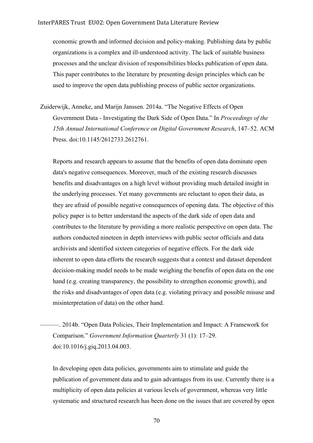economic growth and informed decision and policy-making. Publishing data by public organizations is a complex and ill-understood activity. The lack of suitable business processes and the unclear division of responsibilities blocks publication of open data. This paper contributes to the literature by presenting design principles which can be used to improve the open data publishing process of public sector organizations.

Zuiderwijk, Anneke, and Marijn Janssen. 2014a. "The Negative Effects of Open Government Data - Investigating the Dark Side of Open Data." In *Proceedings of the 15th Annual International Conference on Digital Government Research*, 147–52. ACM Press. doi:10.1145/2612733.2612761.

Reports and research appears to assume that the benefits of open data dominate open data's negative consequences. Moreover, much of the existing research discusses benefits and disadvantages on a high level without providing much detailed insight in the underlying processes. Yet many governments are reluctant to open their data, as they are afraid of possible negative consequences of opening data. The objective of this policy paper is to better understand the aspects of the dark side of open data and contributes to the literature by providing a more realistic perspective on open data. The authors conducted nineteen in depth interviews with public sector officials and data archivists and identified sixteen categories of negative effects. For the dark side inherent to open data efforts the research suggests that a context and dataset dependent decision-making model needs to be made weighing the benefits of open data on the one hand (e.g. creating transparency, the possibility to strengthen economic growth), and the risks and disadvantages of open data (e.g. violating privacy and possible misuse and misinterpretation of data) on the other hand.

———. 2014b. "Open Data Policies, Their Implementation and Impact: A Framework for Comparison." *Government Information Quarterly* 31 (1): 17–29. doi:10.1016/j.giq.2013.04.003.

In developing open data policies, governments aim to stimulate and guide the publication of government data and to gain advantages from its use. Currently there is a multiplicity of open data policies at various levels of government, whereas very little systematic and structured research has been done on the issues that are covered by open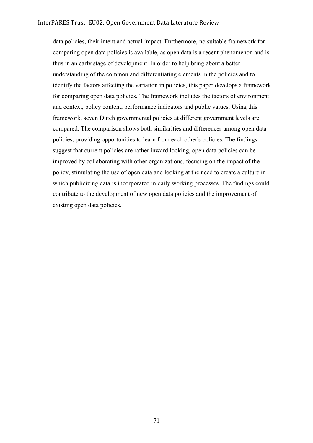data policies, their intent and actual impact. Furthermore, no suitable framework for comparing open data policies is available, as open data is a recent phenomenon and is thus in an early stage of development. In order to help bring about a better understanding of the common and differentiating elements in the policies and to identify the factors affecting the variation in policies, this paper develops a framework for comparing open data policies. The framework includes the factors of environment and context, policy content, performance indicators and public values. Using this framework, seven Dutch governmental policies at different government levels are compared. The comparison shows both similarities and differences among open data policies, providing opportunities to learn from each other's policies. The findings suggest that current policies are rather inward looking, open data policies can be improved by collaborating with other organizations, focusing on the impact of the policy, stimulating the use of open data and looking at the need to create a culture in which publicizing data is incorporated in daily working processes. The findings could contribute to the development of new open data policies and the improvement of existing open data policies.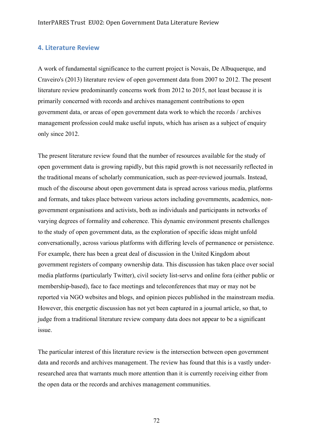## **4. Literature Review**

A work of fundamental significance to the current project is Novais, De Albuquerque, and Craveiro's (2013) literature review of open government data from 2007 to 2012. The present literature review predominantly concerns work from 2012 to 2015, not least because it is primarily concerned with records and archives management contributions to open government data, or areas of open government data work to which the records / archives management profession could make useful inputs, which has arisen as a subject of enquiry only since 2012.

The present literature review found that the number of resources available for the study of open government data is growing rapidly, but this rapid growth is not necessarily reflected in the traditional means of scholarly communication, such as peer-reviewed journals. Instead, much of the discourse about open government data is spread across various media, platforms and formats, and takes place between various actors including governments, academics, nongovernment organisations and activists, both as individuals and participants in networks of varying degrees of formality and coherence. This dynamic environment presents challenges to the study of open government data, as the exploration of specific ideas might unfold conversationally, across various platforms with differing levels of permanence or persistence. For example, there has been a great deal of discussion in the United Kingdom about government registers of company ownership data. This discussion has taken place over social media platforms (particularly Twitter), civil society list-servs and online fora (either public or membership-based), face to face meetings and teleconferences that may or may not be reported via NGO websites and blogs, and opinion pieces published in the mainstream media. However, this energetic discussion has not yet been captured in a journal article, so that, to judge from a traditional literature review company data does not appear to be a significant issue.

The particular interest of this literature review is the intersection between open government data and records and archives management. The review has found that this is a vastly underresearched area that warrants much more attention than it is currently receiving either from the open data or the records and archives management communities.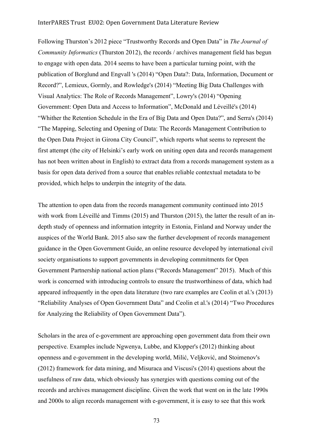Following Thurston's 2012 piece "Trustworthy Records and Open Data" in *The Journal of Community Informatics* (Thurston 2012), the records / archives management field has begun to engage with open data. 2014 seems to have been a particular turning point, with the publication of Borglund and Engvall 's (2014) "Open Data?: Data, Information, Document or Record?", Lemieux, Gormly, and Rowledge's (2014) "Meeting Big Data Challenges with Visual Analytics: The Role of Records Management", Lowry's (2014) "Opening Government: Open Data and Access to Information", McDonald and Léveillé's (2014) "Whither the Retention Schedule in the Era of Big Data and Open Data?", and Serra's (2014) "The Mapping, Selecting and Opening of Data: The Records Management Contribution to the Open Data Project in Girona City Council", which reports what seems to represent the first attempt (the city of Helsinki's early work on uniting open data and records management has not been written about in English) to extract data from a records management system as a basis for open data derived from a source that enables reliable contextual metadata to be provided, which helps to underpin the integrity of the data.

The attention to open data from the records management community continued into 2015 with work from Léveillé and Timms (2015) and Thurston (2015), the latter the result of an indepth study of openness and information integrity in Estonia, Finland and Norway under the auspices of the World Bank. 2015 also saw the further development of records management guidance in the Open Government Guide, an online resource developed by international civil society organisations to support governments in developing commitments for Open Government Partnership national action plans ("Records Management" 2015). Much of this work is concerned with introducing controls to ensure the trustworthiness of data, which had appeared infrequently in the open data literature (two rare examples are Ceolin et al.'s (2013) "Reliability Analyses of Open Government Data" and Ceolin et al.'s (2014) "Two Procedures for Analyzing the Reliability of Open Government Data").

Scholars in the area of e-government are approaching open government data from their own perspective. Examples include Ngwenya, Lubbe, and Klopper's (2012) thinking about openness and e-government in the developing world, Milić, Veljković, and Stoimenov's (2012) framework for data mining, and Misuraca and Viscusi's (2014) questions about the usefulness of raw data, which obviously has synergies with questions coming out of the records and archives management discipline. Given the work that went on in the late 1990s and 2000s to align records management with e-government, it is easy to see that this work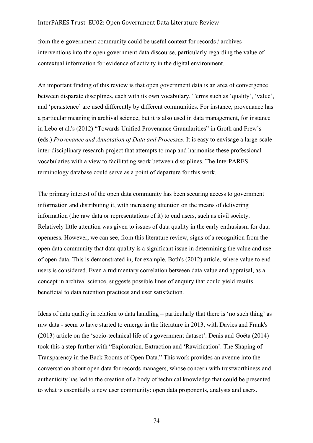from the e-government community could be useful context for records / archives interventions into the open government data discourse, particularly regarding the value of contextual information for evidence of activity in the digital environment.

An important finding of this review is that open government data is an area of convergence between disparate disciplines, each with its own vocabulary. Terms such as 'quality', 'value', and 'persistence' are used differently by different communities. For instance, provenance has a particular meaning in archival science, but it is also used in data management, for instance in Lebo et al.'s (2012) "Towards Unified Provenance Granularities" in Groth and Frew's (eds.) *Provenance and Annotation of Data and Processes*. It is easy to envisage a large-scale inter-disciplinary research project that attempts to map and harmonise these professional vocabularies with a view to facilitating work between disciplines. The InterPARES terminology database could serve as a point of departure for this work.

The primary interest of the open data community has been securing access to government information and distributing it, with increasing attention on the means of delivering information (the raw data or representations of it) to end users, such as civil society. Relatively little attention was given to issues of data quality in the early enthusiasm for data openness. However, we can see, from this literature review, signs of a recognition from the open data community that data quality is a significant issue in determining the value and use of open data. This is demonstrated in, for example, Both's (2012) article, where value to end users is considered. Even a rudimentary correlation between data value and appraisal, as a concept in archival science, suggests possible lines of enquiry that could yield results beneficial to data retention practices and user satisfaction.

Ideas of data quality in relation to data handling – particularly that there is 'no such thing' as raw data - seem to have started to emerge in the literature in 2013, with Davies and Frank's (2013) article on the 'socio-technical life of a government dataset'. Denis and Goëta (2014) took this a step further with "Exploration, Extraction and 'Rawification'. The Shaping of Transparency in the Back Rooms of Open Data." This work provides an avenue into the conversation about open data for records managers, whose concern with trustworthiness and authenticity has led to the creation of a body of technical knowledge that could be presented to what is essentially a new user community: open data proponents, analysts and users.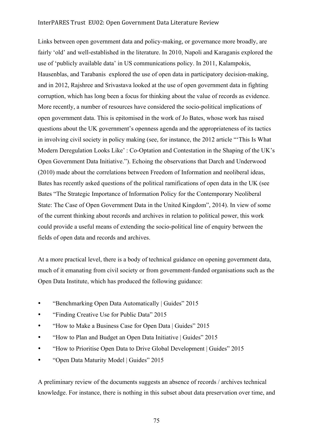Links between open government data and policy-making, or governance more broadly, are fairly 'old' and well-established in the literature. In 2010, Napoli and Karaganis explored the use of 'publicly available data' in US communications policy. In 2011, Kalampokis, Hausenblas, and Tarabanis explored the use of open data in participatory decision-making, and in 2012, Rajshree and Srivastava looked at the use of open government data in fighting corruption, which has long been a focus for thinking about the value of records as evidence. More recently, a number of resources have considered the socio-political implications of open government data. This is epitomised in the work of Jo Bates, whose work has raised questions about the UK government's openness agenda and the appropriateness of its tactics in involving civil society in policy making (see, for instance, the 2012 article "'This Is What Modern Deregulation Looks Like' : Co-Optation and Contestation in the Shaping of the UK's Open Government Data Initiative."). Echoing the observations that Darch and Underwood (2010) made about the correlations between Freedom of Information and neoliberal ideas, Bates has recently asked questions of the political ramifications of open data in the UK (see Bates "The Strategic Importance of Information Policy for the Contemporary Neoliberal State: The Case of Open Government Data in the United Kingdom", 2014). In view of some of the current thinking about records and archives in relation to political power, this work could provide a useful means of extending the socio-political line of enquiry between the fields of open data and records and archives.

At a more practical level, there is a body of technical guidance on opening government data, much of it emanating from civil society or from government-funded organisations such as the Open Data Institute, which has produced the following guidance:

- "Benchmarking Open Data Automatically | Guides" 2015
- "Finding Creative Use for Public Data" 2015
- "How to Make a Business Case for Open Data | Guides" 2015
- "How to Plan and Budget an Open Data Initiative | Guides" 2015
- "How to Prioritise Open Data to Drive Global Development | Guides" 2015
- "Open Data Maturity Model | Guides" 2015

A preliminary review of the documents suggests an absence of records / archives technical knowledge. For instance, there is nothing in this subset about data preservation over time, and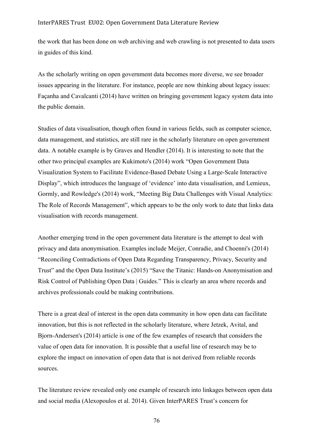the work that has been done on web archiving and web crawling is not presented to data users in guides of this kind.

As the scholarly writing on open government data becomes more diverse, we see broader issues appearing in the literature. For instance, people are now thinking about legacy issues: Façanha and Cavalcanti (2014) have written on bringing government legacy system data into the public domain.

Studies of data visualisation, though often found in various fields, such as computer science, data management, and statistics, are still rare in the scholarly literature on open government data. A notable example is by Graves and Hendler (2014). It is interesting to note that the other two principal examples are Kukimoto's (2014) work "Open Government Data Visualization System to Facilitate Evidence-Based Debate Using a Large-Scale Interactive Display", which introduces the language of 'evidence' into data visualisation, and Lemieux, Gormly, and Rowledge's (2014) work, "Meeting Big Data Challenges with Visual Analytics: The Role of Records Management", which appears to be the only work to date that links data visualisation with records management.

Another emerging trend in the open government data literature is the attempt to deal with privacy and data anonymisation. Examples include Meijer, Conradie, and Choenni's (2014) "Reconciling Contradictions of Open Data Regarding Transparency, Privacy, Security and Trust" and the Open Data Institute's (2015) "Save the Titanic: Hands-on Anonymisation and Risk Control of Publishing Open Data | Guides." This is clearly an area where records and archives professionals could be making contributions.

There is a great deal of interest in the open data community in how open data can facilitate innovation, but this is not reflected in the scholarly literature, where Jetzek, Avital, and Bjorn-Andersen's (2014) article is one of the few examples of research that considers the value of open data for innovation. It is possible that a useful line of research may be to explore the impact on innovation of open data that is not derived from reliable records sources.

The literature review revealed only one example of research into linkages between open data and social media (Alexopoulos et al. 2014). Given InterPARES Trust's concern for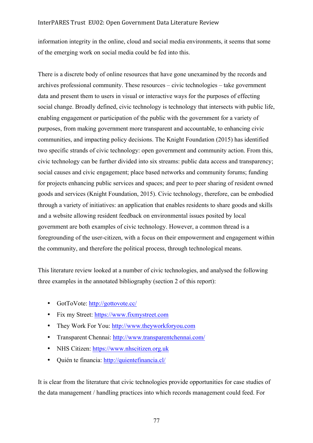information integrity in the online, cloud and social media environments, it seems that some of the emerging work on social media could be fed into this.

There is a discrete body of online resources that have gone unexamined by the records and archives professional community. These resources – civic technologies – take government data and present them to users in visual or interactive ways for the purposes of effecting social change. Broadly defined, civic technology is technology that intersects with public life, enabling engagement or participation of the public with the government for a variety of purposes, from making government more transparent and accountable, to enhancing civic communities, and impacting policy decisions. The Knight Foundation (2015) has identified two specific strands of civic technology: open government and community action. From this, civic technology can be further divided into six streams: public data access and transparency; social causes and civic engagement; place based networks and community forums; funding for projects enhancing public services and spaces; and peer to peer sharing of resident owned goods and services (Knight Foundation, 2015). Civic technology, therefore, can be embodied through a variety of initiatives: an application that enables residents to share goods and skills and a website allowing resident feedback on environmental issues posited by local government are both examples of civic technology. However, a common thread is a foregrounding of the user-citizen, with a focus on their empowerment and engagement within the community, and therefore the political process, through technological means.

This literature review looked at a number of civic technologies, and analysed the following three examples in the annotated bibliography (section 2 of this report):

- GotToVote: http://gottovote.cc/
- Fix my Street: https://www.fixmystreet.com
- They Work For You: http://www.theyworkforyou.com
- Transparent Chennai: http://www.transparentchennai.com/
- NHS Citizen: https://www.nhscitizen.org.uk
- Quién te financia: http://quientefinancia.cl/

It is clear from the literature that civic technologies provide opportunities for case studies of the data management / handling practices into which records management could feed. For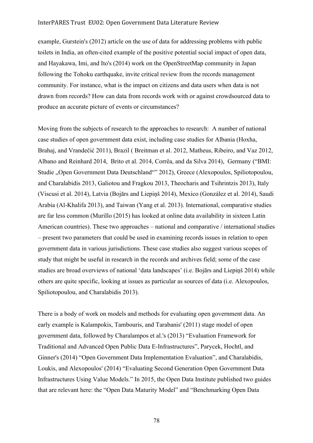example, Gurstein's (2012) article on the use of data for addressing problems with public toilets in India, an often-cited example of the positive potential social impact of open data, and Hayakawa, Imi, and Ito's (2014) work on the OpenStreetMap community in Japan following the Tohoku earthquake, invite critical review from the records management community. For instance, what is the impact on citizens and data users when data is not drawn from records? How can data from records work with or against crowdsourced data to produce an accurate picture of events or circumstances?

Moving from the subjects of research to the approaches to research: A number of national case studies of open government data exist, including case studies for Albania (Hoxha, Brahaj, and Vrandečić 2011), Brazil ( Breitman et al. 2012, Matheus, Ribeiro, and Vaz 2012, Albano and Reinhard 2014, Brito et al. 2014, Corrêa, and da Silva 2014), Germany ("BMI: Studie "Open Government Data Deutschland"" 2012), Greece (Alexopoulos, Spiliotopoulou, and Charalabidis 2013, Galiotou and Fragkou 2013, Theocharis and Tsihrintzis 2013), Italy (Viscusi et al. 2014), Latvia (Bojārs and Liepiņš 2014), Mexico (González et al. 2014), Saudi Arabia (Al-Khalifa 2013), and Taiwan (Yang et al. 2013). International, comparative studies are far less common (Murillo (2015) has looked at online data availability in sixteen Latin American countries). These two approaches – national and comparative / international studies – present two parameters that could be used in examining records issues in relation to open government data in various jurisdictions. These case studies also suggest various scopes of study that might be useful in research in the records and archives field; some of the case studies are broad overviews of national 'data landscapes' (i.e. Bojārs and Liepiņš 2014) while others are quite specific, looking at issues as particular as sources of data (i.e. Alexopoulos, Spiliotopoulou, and Charalabidis 2013).

There is a body of work on models and methods for evaluating open government data. An early example is Kalampokis, Tambouris, and Tarabanis' (2011) stage model of open government data, followed by Charalampos et al.'s (2013) "Evaluation Framework for Traditional and Advanced Open Public Data E-Infrastructures", Parycek, Hochtl, and Ginner's (2014) "Open Government Data Implementation Evaluation", and Charalabidis, Loukis, and Alexopoulos' (2014) "Evaluating Second Generation Open Government Data Infrastructures Using Value Models." In 2015, the Open Data Institute published two guides that are relevant here: the "Open Data Maturity Model" and "Benchmarking Open Data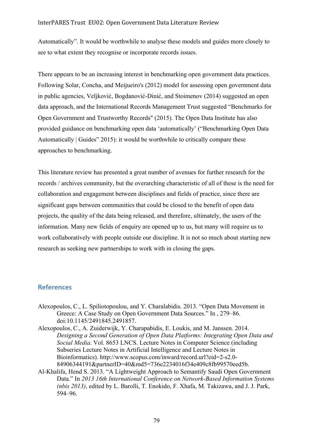Automatically". It would be worthwhile to analyse these models and guides more closely to see to what extent they recognise or incorporate records issues.

There appears to be an increasing interest in benchmarking open government data practices. Following Solar, Concha, and Meijueiro's (2012) model for assessing open government data in public agencies, Veljković, Bogdanović-Dinić, and Stoimenov (2014) suggested an open data approach, and the International Records Management Trust suggested "Benchmarks for Open Government and Trustworthy Records" (2015). The Open Data Institute has also provided guidance on benchmarking open data 'automatically' ("Benchmarking Open Data Automatically | Guides" 2015): it would be worthwhile to critically compare these approaches to benchmarking.

This literature review has presented a great number of avenues for further research for the records / archives community, but the overarching characteristic of all of these is the need for collaboration and engagement between disciplines and fields of practice, since there are significant gaps between communities that could be closed to the benefit of open data projects, the quality of the data being released, and therefore, ultimately, the users of the information. Many new fields of enquiry are opened up to us, but many will require us to work collaboratively with people outside our discipline. It is not so much about starting new research as seeking new partnerships to work with in closing the gaps.

# **References**

- Alexopoulos, C., L. Spiliotopoulou, and Y. Charalabidis. 2013. "Open Data Movement in Greece: A Case Study on Open Government Data Sources." In , 279–86. doi:10.1145/2491845.2491857.
- Alexopoulos, C., A. Zuiderwijk, Y. Charapabidis, E. Loukis, and M. Janssen. 2014. *Designing a Second Generation of Open Data Platforms: Integrating Open Data and Social Media*. Vol. 8653 LNCS. Lecture Notes in Computer Science (including Subseries Lecture Notes in Artificial Intelligence and Lecture Notes in Bioinformatics). http://www.scopus.com/inward/record.url?eid=2-s2.0- 84906344191&partnerID=40&md5=736e2234016f34e409c8fb99570eed5b.
- Al-Khalifa, Hend S. 2013. "A Lightweight Approach to Semantify Saudi Open Government Data." In *2013 16th International Conference on Network-Based Information Systems (nbis 2013)*, edited by L. Barolli, T. Enokido, F. Xhafa, M. Takizawa, and J. J. Park, 594–96.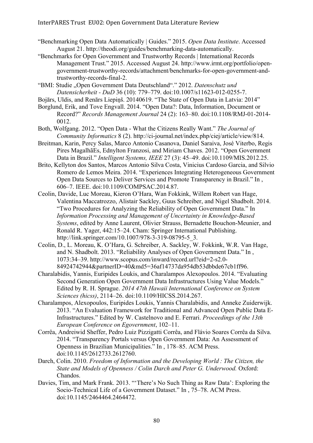- "Benchmarking Open Data Automatically | Guides." 2015. *Open Data Institute*. Accessed August 21. http://theodi.org/guides/benchmarking-data-automatically.
- "Benchmarks for Open Government and Trustworthy Records | International Records Management Trust." 2015. Accessed August 24. http://www.irmt.org/portfolio/opengovernment-trustworthy-records/attachment/benchmarks-for-open-government-andtrustworthy-records-final-2.
- "BMI: Studie "Open Government Data Deutschland"." 2012. *Datenschutz und Datensicherheit - DuD* 36 (10): 779–779. doi:10.1007/s11623-012-0255-7.
- Bojārs, Uldis, and Renārs Liepiņš. 20140619. "The State of Open Data in Latvia: 2014"
- Borglund, Erik, and Tove Engvall. 2014. "Open Data?: Data, Information, Document or Record?" *Records Management Journal* 24 (2): 163–80. doi:10.1108/RMJ-01-2014- 0012.
- Both, Wolfgang. 2012. "Open Data What the Citizens Really Want." *The Journal of Community Informatics* 8 (2). http://ci-journal.net/index.php/ciej/article/view/814.
- Breitman, Karin, Percy Salas, Marco Antonio Casanova, Daniel Saraiva, José Viterbo, Regis Pires MagalhãEs, Ednylton Franzosi, and Miriam Chaves. 2012. "Open Government Data in Brazil." *Intelligent Systems, IEEE* 27 (3): 45–49. doi:10.1109/MIS.2012.25.
- Brito, Kellyton dos Santos, Marcos Antonio Silva Costa, Vinicius Cardoso Garcia, and Silvio Romero de Lemos Meira. 2014. "Experiences Integrating Heterogeneous Government Open Data Sources to Deliver Services and Promote Transparency in Brazil." In , 606–7. IEEE. doi:10.1109/COMPSAC.2014.87.
- Ceolin, Davide, Luc Moreau, Kieron O'Hara, Wan Fokkink, Willem Robert van Hage, Valentina Maccatrozzo, Alistair Sackley, Guus Schreiber, and Nigel Shadbolt. 2014. "Two Procedures for Analyzing the Reliability of Open Government Data." In *Information Processing and Management of Uncertainty in Knowledge-Based Systems*, edited by Anne Laurent, Olivier Strauss, Bernadette Bouchon-Meunier, and Ronald R. Yager, 442:15–24. Cham: Springer International Publishing. http://link.springer.com/10.1007/978-3-319-08795-5\_3.
- Ceolin, D., L. Moreau, K. O'Hara, G. Schreiber, A. Sackley, W. Fokkink, W.R. Van Hage, and N. Shadbolt. 2013. "Reliability Analyses of Open Government Data." In , 1073:34–39. http://www.scopus.com/inward/record.url?eid=2-s2.0- 84924742944&partnerID=40&md5=36af14737da954db53dbbde67cb1ff96.
- Charalabidis, Yannis, Euripides Loukis, and Charalampos Alexopoulos. 2014. "Evaluating Second Generation Open Government Data Infrastructures Using Value Models." Edited by R. H. Sprague. *2014 47th Hawaii International Conference on System Sciences (hicss)*, 2114–26. doi:10.1109/HICSS.2014.267.
- Charalampos, Alexopoulos, Euripides Loukis, Yannis Charalabidis, and Anneke Zuiderwijk. 2013. "An Evaluation Framework for Traditional and Advanced Open Public Data E-Infrastructures." Edited by W. Castelnovo and E. Ferrari. *Proceedings of the 13th European Conference on Egovernment*, 102–11.
- Corrêa, Andreiwid Sheffer, Pedro Luiz Pizzigatti Corrêa, and Flávio Soares Corrêa da Silva. 2014. "Transparency Portals versus Open Government Data: An Assessment of Openness in Brazilian Municipalities." In , 178–85. ACM Press. doi:10.1145/2612733.2612760.
- Darch, Colin. 2010. *Freedom of Information and the Developing World : The Citizen, the State and Models of Openness / Colin Darch and Peter G. Underwood.* Oxford: Chandos.
- Davies, Tim, and Mark Frank. 2013. "'There's No Such Thing as Raw Data': Exploring the Socio-Technical Life of a Government Dataset." In , 75–78. ACM Press. doi:10.1145/2464464.2464472.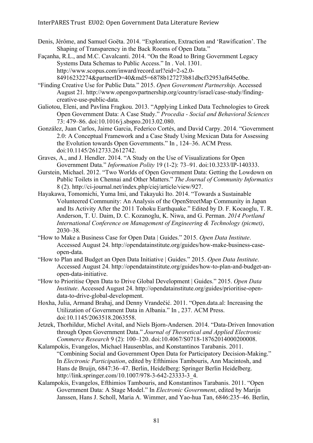- Denis, Jérôme, and Samuel Goëta. 2014. "Exploration, Extraction and 'Rawification'. The Shaping of Transparency in the Back Rooms of Open Data."
- Façanha, R.L., and M.C. Cavalcanti. 2014. "On the Road to Bring Government Legacy Systems Data Schemas to Public Access." In . Vol. 1301. http://www.scopus.com/inward/record.url?eid=2-s2.0- 84916232274&partnerID=40&md5=6878b127273b81dbcf32953af645e0be.
- "Finding Creative Use for Public Data." 2015. *Open Government Partnership*. Accessed August 21. http://www.opengovpartnership.org/country/israel/case-study/findingcreative-use-public-data.
- Galiotou, Eleni, and Pavlina Fragkou. 2013. "Applying Linked Data Technologies to Greek Open Government Data: A Case Study." *Procedia - Social and Behavioral Sciences* 73: 479–86. doi:10.1016/j.sbspro.2013.02.080.
- González, Juan Carlos, Jaime Garcia, Federico Cortés, and David Carpy. 2014. "Government 2.0: A Conceptual Framework and a Case Study Using Mexican Data for Assessing the Evolution towards Open Governments." In , 124–36. ACM Press. doi:10.1145/2612733.2612742.
- Graves, A., and J. Hendler. 2014. "A Study on the Use of Visualizations for Open Government Data." *Information Polity* 19 (1-2): 73–91. doi:10.3233/IP-140333.
- Gurstein, Michael. 2012. "Two Worlds of Open Government Data: Getting the Lowdown on Public Toilets in Chennai and Other Matters." *The Journal of Community Informatics* 8 (2). http://ci-journal.net/index.php/ciej/article/view/927.
- Hayakawa, Tomomichi, Yuma Imi, and Takayuki Ito. 2014. "Towards a Sustainable Volunteered Community: An Analysis of the OpenStreetMap Community in Japan and Its Activity After the 2011 Tohoku Earthquake." Edited by D. F. Kocaoglu, T. R. Anderson, T. U. Daim, D. C. Kozanoglu, K. Niwa, and G. Perman. *2014 Portland International Conference on Management of Engineering & Technology (picmet)*, 2030–38.
- "How to Make a Business Case for Open Data | Guides." 2015. *Open Data Institute*. Accessed August 24. http://opendatainstitute.org/guides/how-make-business-caseopen-data.
- "How to Plan and Budget an Open Data Initiative | Guides." 2015. *Open Data Institute*. Accessed August 24. http://opendatainstitute.org/guides/how-to-plan-and-budget-anopen-data-initiative.
- "How to Prioritise Open Data to Drive Global Development | Guides." 2015. *Open Data Institute*. Accessed August 24. http://opendatainstitute.org/guides/prioritise-opendata-to-drive-global-development.
- Hoxha, Julia, Armand Brahaj, and Denny Vrandečić. 2011. "Open.data.al: Increasing the Utilization of Government Data in Albania." In , 237. ACM Press. doi:10.1145/2063518.2063558.
- Jetzek, Thorhildur, Michel Avital, and Niels Bjorn-Andersen. 2014. "Data-Driven Innovation through Open Government Data." *Journal of Theoretical and Applied Electronic Commerce Research* 9 (2): 100–120. doi:10.4067/S0718-18762014000200008.
- Kalampokis, Evangelos, Michael Hausenblas, and Konstantinos Tarabanis. 2011. "Combining Social and Government Open Data for Participatory Decision-Making." In *Electronic Participation*, edited by Efthimios Tambouris, Ann Macintosh, and Hans de Bruijn, 6847:36–47. Berlin, Heidelberg: Springer Berlin Heidelberg. http://link.springer.com/10.1007/978-3-642-23333-3\_4.
- Kalampokis, Evangelos, Efthimios Tambouris, and Konstantinos Tarabanis. 2011. "Open Government Data: A Stage Model." In *Electronic Government*, edited by Marijn Janssen, Hans J. Scholl, Maria A. Wimmer, and Yao-hua Tan, 6846:235–46. Berlin,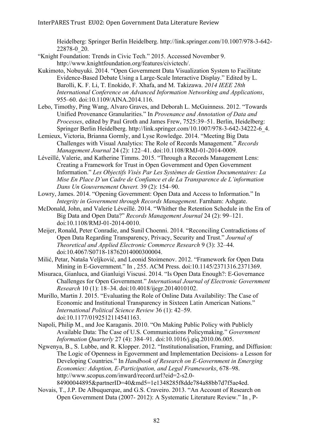Heidelberg: Springer Berlin Heidelberg. http://link.springer.com/10.1007/978-3-642- 22878-0\_20.

- "Knight Foundation: Trends in Civic Tech." 2015. Accessed November 9. http://www.knightfoundation.org/features/civictech/.
- Kukimoto, Nobuyuki. 2014. "Open Government Data Visualization System to Facilitate Evidence-Based Debate Using a Large-Scale Interactive Display." Edited by L. Barolli, K. F. Li, T. Enokido, F. Xhafa, and M. Takizawa. *2014 IEEE 28th International Conference on Advanced Information Networking and Applications*, 955–60. doi:10.1109/AINA.2014.116.
- Lebo, Timothy, Ping Wang, Alvaro Graves, and Deborah L. McGuinness. 2012. "Towards Unified Provenance Granularities." In *Provenance and Annotation of Data and Processes*, edited by Paul Groth and James Frew, 7525:39–51. Berlin, Heidelberg: Springer Berlin Heidelberg. http://link.springer.com/10.1007/978-3-642-34222-6\_4.
- Lemieux, Victoria, Brianna Gormly, and Lyse Rowledge. 2014. "Meeting Big Data Challenges with Visual Analytics: The Role of Records Management." *Records Management Journal* 24 (2): 122–41. doi:10.1108/RMJ-01-2014-0009.
- Léveillé, Valerie, and Katherine Timms. 2015. "Through a Records Management Lens: Creating a Framework for Trust in Open Government and Open Government Information." *Les Objectifs Visés Par Les Systèmes de Gestion Documentaires: La Mise En Place D'un Cadre de Confiance et de La Transparence de L'information Dans Un Gouvernement Ouvert.* 39 (2): 154–90.
- Lowry, James. 2014. "Opening Government: Open Data and Access to Information." In *Integrity in Government through Records Management*. Farnham: Ashgate.
- McDonald, John, and Valerie Léveillé. 2014. "Whither the Retention Schedule in the Era of Big Data and Open Data?" *Records Management Journal* 24 (2): 99–121. doi:10.1108/RMJ-01-2014-0010.
- Meijer, Ronald, Peter Conradie, and Sunil Choenni. 2014. "Reconciling Contradictions of Open Data Regarding Transparency, Privacy, Security and Trust." *Journal of Theoretical and Applied Electronic Commerce Research* 9 (3): 32–44. doi:10.4067/S0718-18762014000300004.
- Milić, Petar, Nataša Veljković, and Leonid Stoimenov. 2012. "Framework for Open Data Mining in E-Government." In , 255. ACM Press. doi:10.1145/2371316.2371369.
- Misuraca, Gianluca, and Gianluigi Viscusi. 2014. "Is Open Data Enough?: E-Governance Challenges for Open Government." *International Journal of Electronic Government Research* 10 (1): 18–34. doi:10.4018/ijegr.2014010102.
- Murillo, Martin J. 2015. "Evaluating the Role of Online Data Availability: The Case of Economic and Institutional Transparency in Sixteen Latin American Nations." *International Political Science Review* 36 (1): 42–59. doi:10.1177/0192512114541163.
- Napoli, Philip M., and Joe Karaganis. 2010. "On Making Public Policy with Publicly Available Data: The Case of U.S. Communications Policymaking." *Government Information Quarterly* 27 (4): 384–91. doi:10.1016/j.giq.2010.06.005.
- Ngwenya, B., S. Lubbe, and R. Klopper. 2012. "Institutionalisation, Framing, and Diffusion: The Logic of Openness in Egovernment and Implementation Decisions- a Lesson for Developing Countries." In *Handbook of Research on E-Government in Emerging Economies: Adoption, E-Participation, and Legal Frameworks*, 678–98. http://www.scopus.com/inward/record.url?eid=2-s2.0- 84900044895&partnerID=40&md5=1e1348285f8dde784a88bb7d7f5ae4ed.
- Novais, T., J.P. De Albuquerque, and G.S. Craveiro. 2013. "An Account of Research on Open Government Data (2007- 2012): A Systematic Literature Review." In , P-